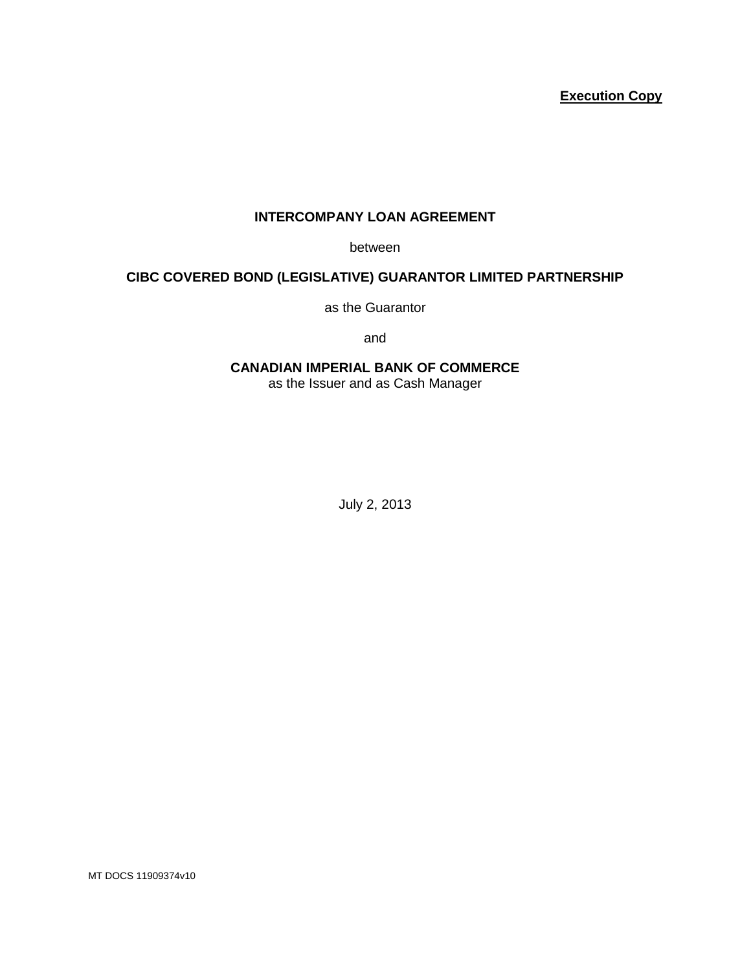## **Execution Copy**

## **INTERCOMPANY LOAN AGREEMENT**

between

## **CIBC COVERED BOND (LEGISLATIVE) GUARANTOR LIMITED PARTNERSHIP**

as the Guarantor

and

# **CANADIAN IMPERIAL BANK OF COMMERCE**

as the Issuer and as Cash Manager

July 2, 2013

MT DOCS 11909374v10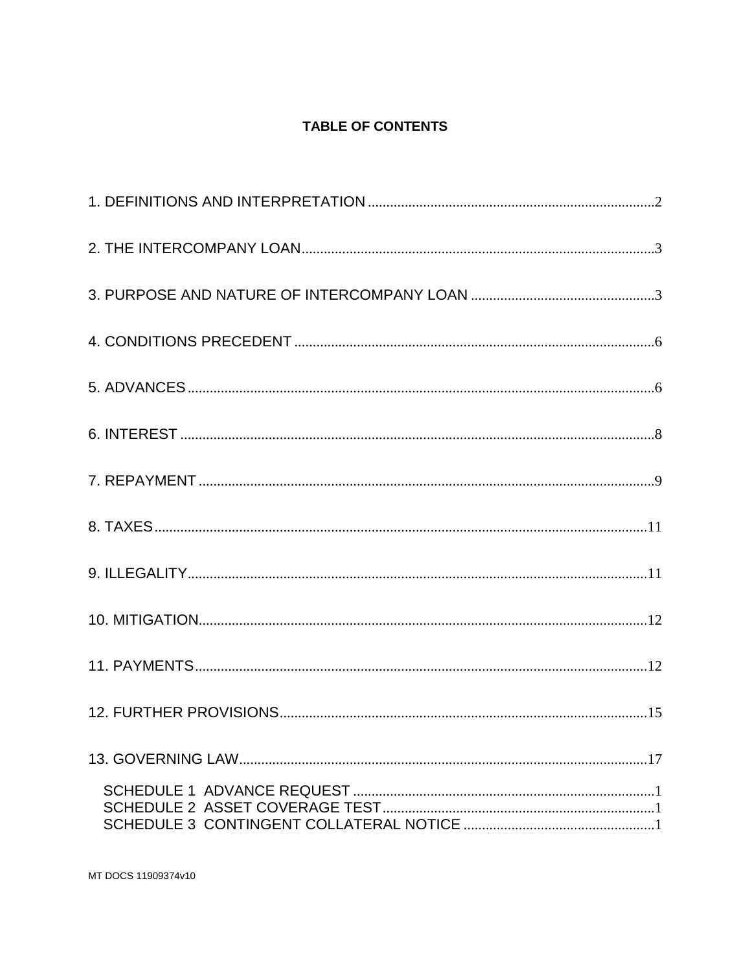# **TABLE OF CONTENTS**

MT DOCS 11909374v10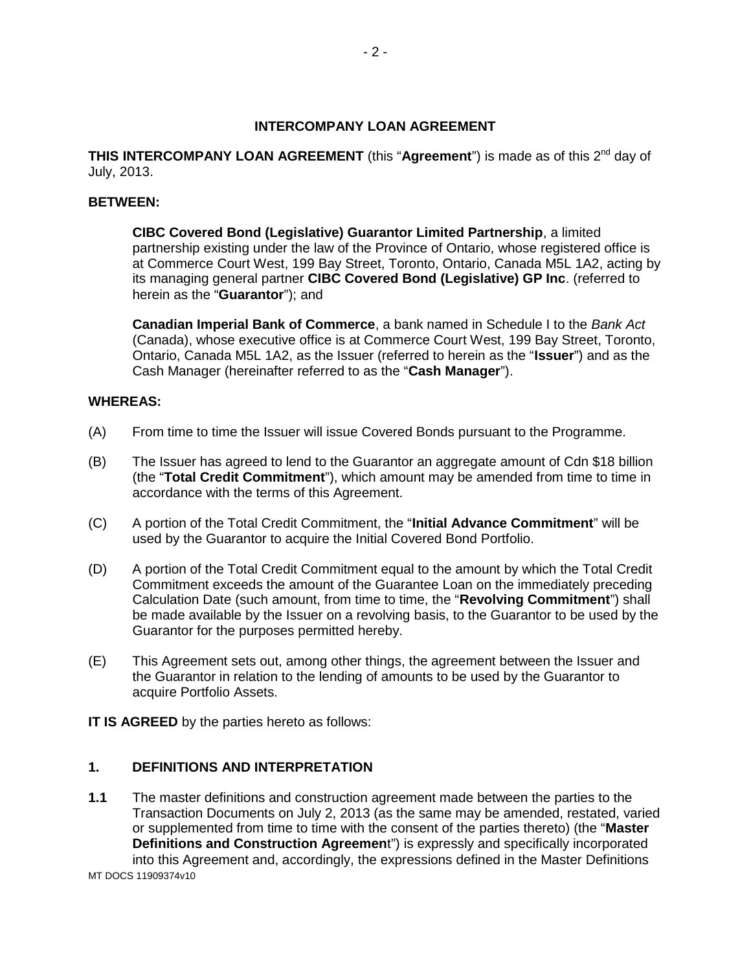#### **INTERCOMPANY LOAN AGREEMENT**

**THIS INTERCOMPANY LOAN AGREEMENT** (this "Agreement") is made as of this 2<sup>nd</sup> day of July, 2013.

#### **BETWEEN:**

**CIBC Covered Bond (Legislative) Guarantor Limited Partnership**, a limited partnership existing under the law of the Province of Ontario, whose registered office is at Commerce Court West, 199 Bay Street, Toronto, Ontario, Canada M5L 1A2, acting by its managing general partner **CIBC Covered Bond (Legislative) GP Inc**. (referred to herein as the "**Guarantor**"); and

**Canadian Imperial Bank of Commerce**, a bank named in Schedule I to the *Bank Act* (Canada), whose executive office is at Commerce Court West, 199 Bay Street, Toronto, Ontario, Canada M5L 1A2, as the Issuer (referred to herein as the "**Issuer**") and as the Cash Manager (hereinafter referred to as the "**Cash Manager**").

#### **WHEREAS:**

- (A) From time to time the Issuer will issue Covered Bonds pursuant to the Programme.
- (B) The Issuer has agreed to lend to the Guarantor an aggregate amount of Cdn \$18 billion (the "**Total Credit Commitment**"), which amount may be amended from time to time in accordance with the terms of this Agreement.
- (C) A portion of the Total Credit Commitment, the "**Initial Advance Commitment**" will be used by the Guarantor to acquire the Initial Covered Bond Portfolio.
- (D) A portion of the Total Credit Commitment equal to the amount by which the Total Credit Commitment exceeds the amount of the Guarantee Loan on the immediately preceding Calculation Date (such amount, from time to time, the "**Revolving Commitment**") shall be made available by the Issuer on a revolving basis, to the Guarantor to be used by the Guarantor for the purposes permitted hereby.
- (E) This Agreement sets out, among other things, the agreement between the Issuer and the Guarantor in relation to the lending of amounts to be used by the Guarantor to acquire Portfolio Assets.

**IT IS AGREED** by the parties hereto as follows:

#### **1. DEFINITIONS AND INTERPRETATION**

MT DOCS 11909374v10 **1.1** The master definitions and construction agreement made between the parties to the Transaction Documents on July 2, 2013 (as the same may be amended, restated, varied or supplemented from time to time with the consent of the parties thereto) (the "**Master Definitions and Construction Agreemen**t") is expressly and specifically incorporated into this Agreement and, accordingly, the expressions defined in the Master Definitions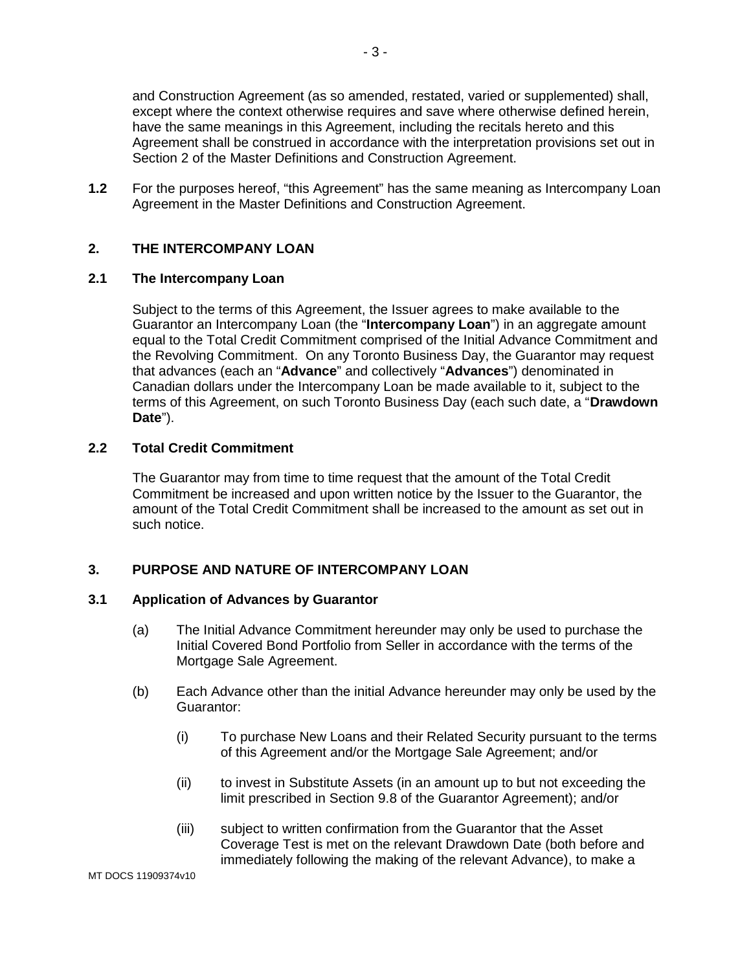and Construction Agreement (as so amended, restated, varied or supplemented) shall, except where the context otherwise requires and save where otherwise defined herein, have the same meanings in this Agreement, including the recitals hereto and this Agreement shall be construed in accordance with the interpretation provisions set out in Section 2 of the Master Definitions and Construction Agreement.

**1.2** For the purposes hereof, "this Agreement" has the same meaning as Intercompany Loan Agreement in the Master Definitions and Construction Agreement.

#### **2. THE INTERCOMPANY LOAN**

## **2.1 The Intercompany Loan**

Subject to the terms of this Agreement, the Issuer agrees to make available to the Guarantor an Intercompany Loan (the "**Intercompany Loan**") in an aggregate amount equal to the Total Credit Commitment comprised of the Initial Advance Commitment and the Revolving Commitment. On any Toronto Business Day, the Guarantor may request that advances (each an "**Advance**" and collectively "**Advances**") denominated in Canadian dollars under the Intercompany Loan be made available to it, subject to the terms of this Agreement, on such Toronto Business Day (each such date, a "**Drawdown Date**").

#### **2.2 Total Credit Commitment**

The Guarantor may from time to time request that the amount of the Total Credit Commitment be increased and upon written notice by the Issuer to the Guarantor, the amount of the Total Credit Commitment shall be increased to the amount as set out in such notice.

#### **3. PURPOSE AND NATURE OF INTERCOMPANY LOAN**

#### **3.1 Application of Advances by Guarantor**

- (a) The Initial Advance Commitment hereunder may only be used to purchase the Initial Covered Bond Portfolio from Seller in accordance with the terms of the Mortgage Sale Agreement.
- (b) Each Advance other than the initial Advance hereunder may only be used by the Guarantor:
	- (i) To purchase New Loans and their Related Security pursuant to the terms of this Agreement and/or the Mortgage Sale Agreement; and/or
	- (ii) to invest in Substitute Assets (in an amount up to but not exceeding the limit prescribed in Section 9.8 of the Guarantor Agreement); and/or
	- (iii) subject to written confirmation from the Guarantor that the Asset Coverage Test is met on the relevant Drawdown Date (both before and immediately following the making of the relevant Advance), to make a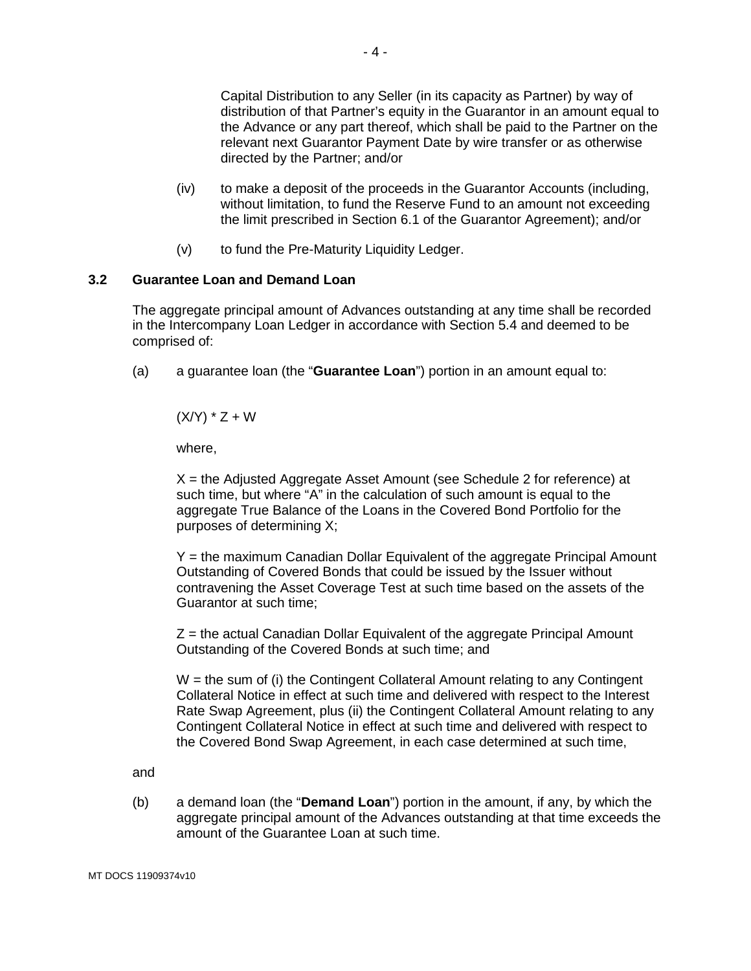Capital Distribution to any Seller (in its capacity as Partner) by way of distribution of that Partner's equity in the Guarantor in an amount equal to the Advance or any part thereof, which shall be paid to the Partner on the relevant next Guarantor Payment Date by wire transfer or as otherwise directed by the Partner; and/or

- (iv) to make a deposit of the proceeds in the Guarantor Accounts (including, without limitation, to fund the Reserve Fund to an amount not exceeding the limit prescribed in Section 6.1 of the Guarantor Agreement); and/or
- (v) to fund the Pre-Maturity Liquidity Ledger.

#### **3.2 Guarantee Loan and Demand Loan**

The aggregate principal amount of Advances outstanding at any time shall be recorded in the Intercompany Loan Ledger in accordance with Section 5.4 and deemed to be comprised of:

(a) a guarantee loan (the "**Guarantee Loan**") portion in an amount equal to:

 $(X/Y) * Z + W$ 

where,

X = the Adjusted Aggregate Asset Amount (see Schedule 2 for reference) at such time, but where "A" in the calculation of such amount is equal to the aggregate True Balance of the Loans in the Covered Bond Portfolio for the purposes of determining X;

Y = the maximum Canadian Dollar Equivalent of the aggregate Principal Amount Outstanding of Covered Bonds that could be issued by the Issuer without contravening the Asset Coverage Test at such time based on the assets of the Guarantor at such time;

 $Z$  = the actual Canadian Dollar Equivalent of the aggregate Principal Amount Outstanding of the Covered Bonds at such time; and

W = the sum of (i) the Contingent Collateral Amount relating to any Contingent Collateral Notice in effect at such time and delivered with respect to the Interest Rate Swap Agreement, plus (ii) the Contingent Collateral Amount relating to any Contingent Collateral Notice in effect at such time and delivered with respect to the Covered Bond Swap Agreement, in each case determined at such time,

and

(b) a demand loan (the "**Demand Loan**") portion in the amount, if any, by which the aggregate principal amount of the Advances outstanding at that time exceeds the amount of the Guarantee Loan at such time.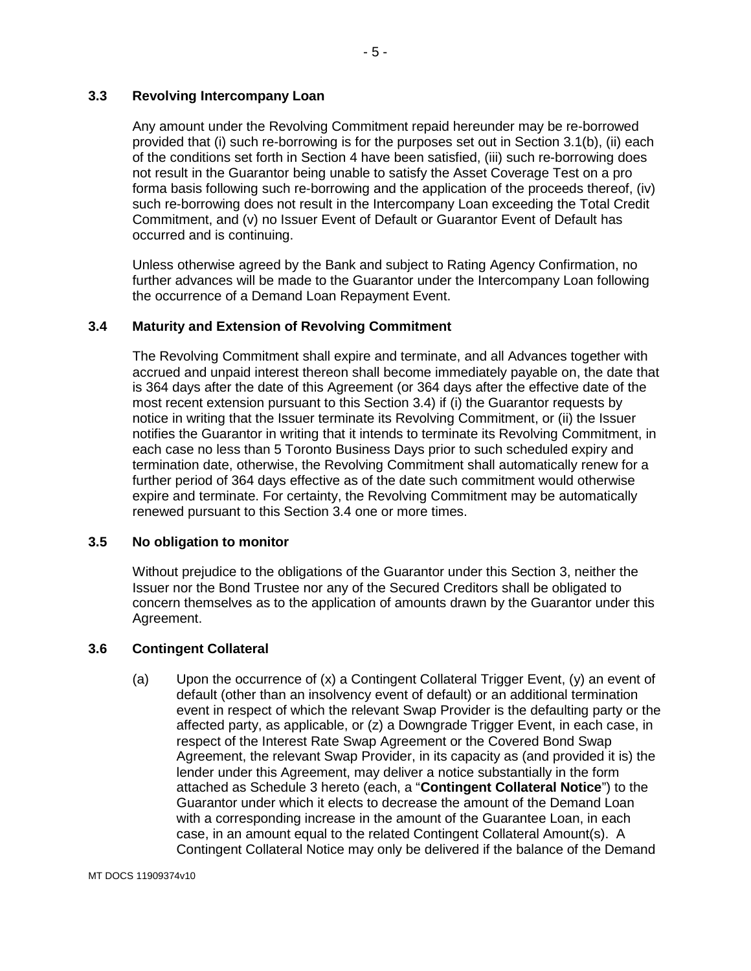## **3.3 Revolving Intercompany Loan**

Any amount under the Revolving Commitment repaid hereunder may be re-borrowed provided that (i) such re-borrowing is for the purposes set out in Section 3.1(b), (ii) each of the conditions set forth in Section 4 have been satisfied, (iii) such re-borrowing does not result in the Guarantor being unable to satisfy the Asset Coverage Test on a pro forma basis following such re-borrowing and the application of the proceeds thereof, (iv) such re-borrowing does not result in the Intercompany Loan exceeding the Total Credit Commitment, and (v) no Issuer Event of Default or Guarantor Event of Default has occurred and is continuing.

Unless otherwise agreed by the Bank and subject to Rating Agency Confirmation, no further advances will be made to the Guarantor under the Intercompany Loan following the occurrence of a Demand Loan Repayment Event.

#### **3.4 Maturity and Extension of Revolving Commitment**

The Revolving Commitment shall expire and terminate, and all Advances together with accrued and unpaid interest thereon shall become immediately payable on, the date that is 364 days after the date of this Agreement (or 364 days after the effective date of the most recent extension pursuant to this Section 3.4) if (i) the Guarantor requests by notice in writing that the Issuer terminate its Revolving Commitment, or (ii) the Issuer notifies the Guarantor in writing that it intends to terminate its Revolving Commitment, in each case no less than 5 Toronto Business Days prior to such scheduled expiry and termination date, otherwise, the Revolving Commitment shall automatically renew for a further period of 364 days effective as of the date such commitment would otherwise expire and terminate. For certainty, the Revolving Commitment may be automatically renewed pursuant to this Section 3.4 one or more times.

#### **3.5 No obligation to monitor**

Without prejudice to the obligations of the Guarantor under this Section 3, neither the Issuer nor the Bond Trustee nor any of the Secured Creditors shall be obligated to concern themselves as to the application of amounts drawn by the Guarantor under this Agreement.

#### **3.6 Contingent Collateral**

(a) Upon the occurrence of (x) a Contingent Collateral Trigger Event, (y) an event of default (other than an insolvency event of default) or an additional termination event in respect of which the relevant Swap Provider is the defaulting party or the affected party, as applicable, or (z) a Downgrade Trigger Event, in each case, in respect of the Interest Rate Swap Agreement or the Covered Bond Swap Agreement, the relevant Swap Provider, in its capacity as (and provided it is) the lender under this Agreement, may deliver a notice substantially in the form attached as Schedule 3 hereto (each, a "**Contingent Collateral Notice**") to the Guarantor under which it elects to decrease the amount of the Demand Loan with a corresponding increase in the amount of the Guarantee Loan, in each case, in an amount equal to the related Contingent Collateral Amount(s). A Contingent Collateral Notice may only be delivered if the balance of the Demand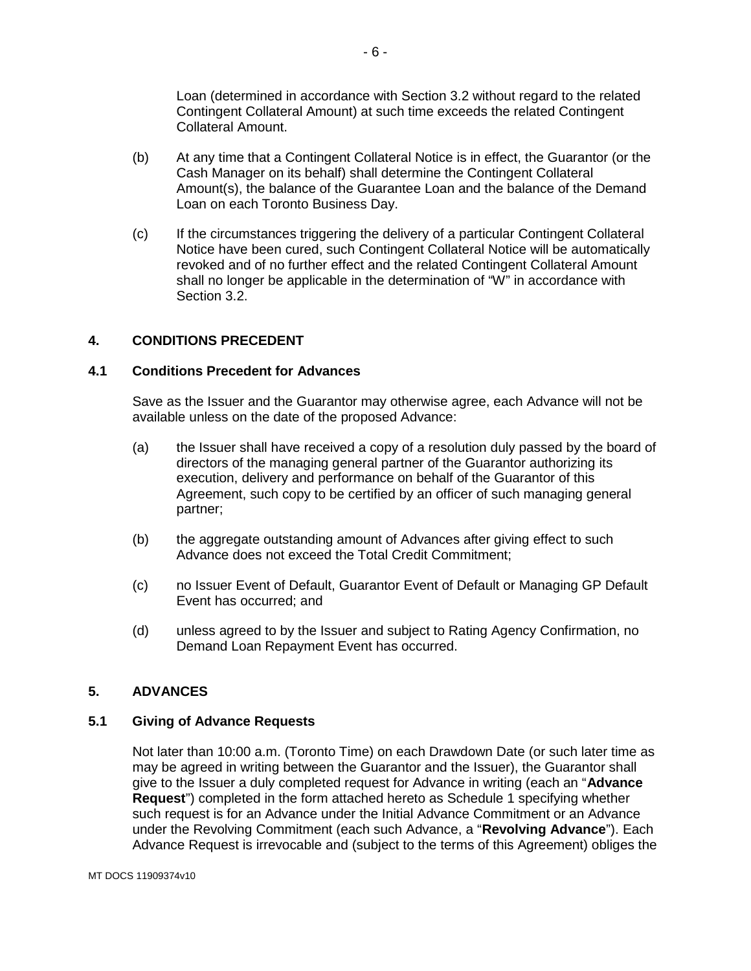Loan (determined in accordance with Section 3.2 without regard to the related Contingent Collateral Amount) at such time exceeds the related Contingent Collateral Amount.

- (b) At any time that a Contingent Collateral Notice is in effect, the Guarantor (or the Cash Manager on its behalf) shall determine the Contingent Collateral Amount(s), the balance of the Guarantee Loan and the balance of the Demand Loan on each Toronto Business Day.
- (c) If the circumstances triggering the delivery of a particular Contingent Collateral Notice have been cured, such Contingent Collateral Notice will be automatically revoked and of no further effect and the related Contingent Collateral Amount shall no longer be applicable in the determination of "W" in accordance with Section 3.2.

## **4. CONDITIONS PRECEDENT**

#### **4.1 Conditions Precedent for Advances**

Save as the Issuer and the Guarantor may otherwise agree, each Advance will not be available unless on the date of the proposed Advance:

- (a) the Issuer shall have received a copy of a resolution duly passed by the board of directors of the managing general partner of the Guarantor authorizing its execution, delivery and performance on behalf of the Guarantor of this Agreement, such copy to be certified by an officer of such managing general partner;
- (b) the aggregate outstanding amount of Advances after giving effect to such Advance does not exceed the Total Credit Commitment;
- (c) no Issuer Event of Default, Guarantor Event of Default or Managing GP Default Event has occurred; and
- (d) unless agreed to by the Issuer and subject to Rating Agency Confirmation, no Demand Loan Repayment Event has occurred.

#### **5. ADVANCES**

#### **5.1 Giving of Advance Requests**

Not later than 10:00 a.m. (Toronto Time) on each Drawdown Date (or such later time as may be agreed in writing between the Guarantor and the Issuer), the Guarantor shall give to the Issuer a duly completed request for Advance in writing (each an "**Advance Request**") completed in the form attached hereto as Schedule 1 specifying whether such request is for an Advance under the Initial Advance Commitment or an Advance under the Revolving Commitment (each such Advance, a "**Revolving Advance**"). Each Advance Request is irrevocable and (subject to the terms of this Agreement) obliges the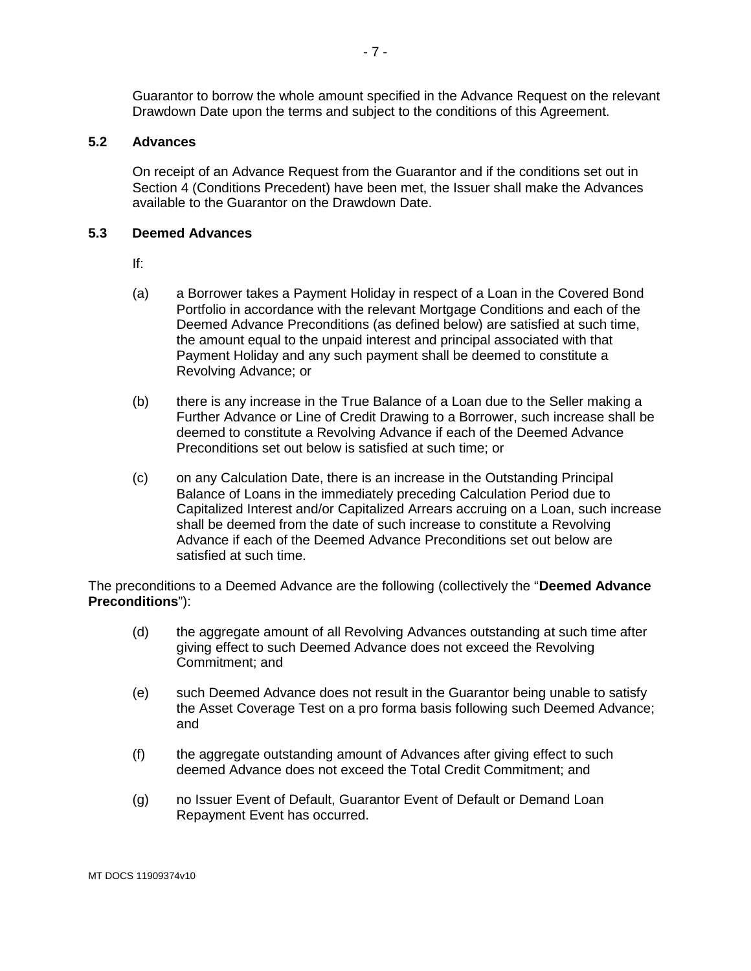Guarantor to borrow the whole amount specified in the Advance Request on the relevant Drawdown Date upon the terms and subject to the conditions of this Agreement.

### **5.2 Advances**

On receipt of an Advance Request from the Guarantor and if the conditions set out in Section 4 (Conditions Precedent) have been met, the Issuer shall make the Advances available to the Guarantor on the Drawdown Date.

#### **5.3 Deemed Advances**

If:

- (a) a Borrower takes a Payment Holiday in respect of a Loan in the Covered Bond Portfolio in accordance with the relevant Mortgage Conditions and each of the Deemed Advance Preconditions (as defined below) are satisfied at such time, the amount equal to the unpaid interest and principal associated with that Payment Holiday and any such payment shall be deemed to constitute a Revolving Advance; or
- (b) there is any increase in the True Balance of a Loan due to the Seller making a Further Advance or Line of Credit Drawing to a Borrower, such increase shall be deemed to constitute a Revolving Advance if each of the Deemed Advance Preconditions set out below is satisfied at such time; or
- (c) on any Calculation Date, there is an increase in the Outstanding Principal Balance of Loans in the immediately preceding Calculation Period due to Capitalized Interest and/or Capitalized Arrears accruing on a Loan, such increase shall be deemed from the date of such increase to constitute a Revolving Advance if each of the Deemed Advance Preconditions set out below are satisfied at such time.

The preconditions to a Deemed Advance are the following (collectively the "**Deemed Advance Preconditions**"):

- (d) the aggregate amount of all Revolving Advances outstanding at such time after giving effect to such Deemed Advance does not exceed the Revolving Commitment; and
- (e) such Deemed Advance does not result in the Guarantor being unable to satisfy the Asset Coverage Test on a pro forma basis following such Deemed Advance; and
- (f) the aggregate outstanding amount of Advances after giving effect to such deemed Advance does not exceed the Total Credit Commitment; and
- (g) no Issuer Event of Default, Guarantor Event of Default or Demand Loan Repayment Event has occurred.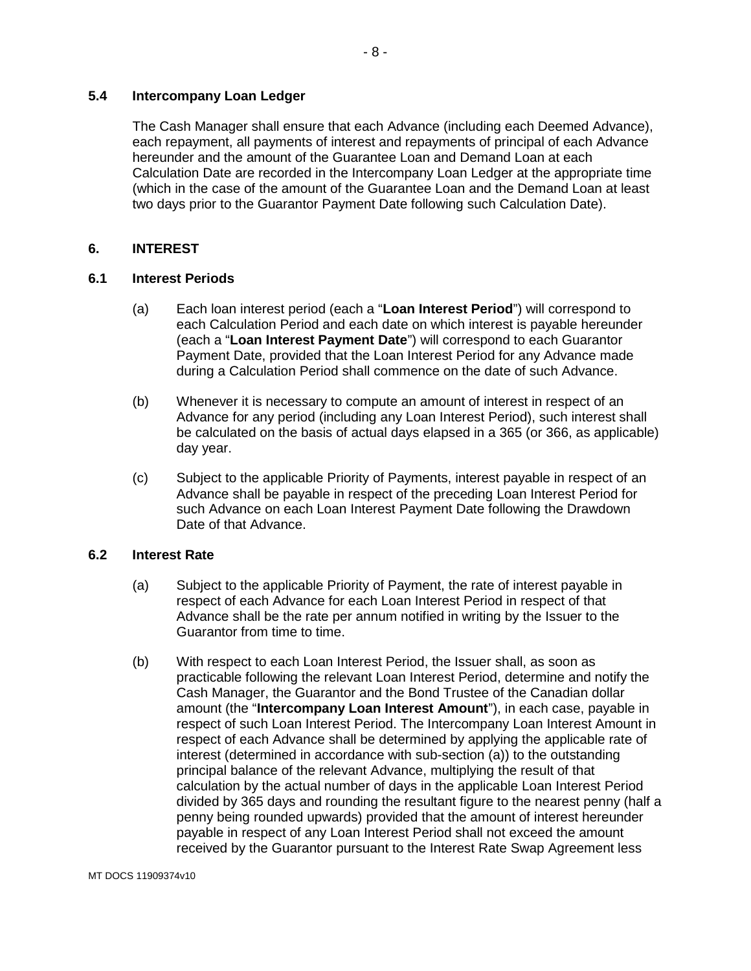#### **5.4 Intercompany Loan Ledger**

The Cash Manager shall ensure that each Advance (including each Deemed Advance), each repayment, all payments of interest and repayments of principal of each Advance hereunder and the amount of the Guarantee Loan and Demand Loan at each Calculation Date are recorded in the Intercompany Loan Ledger at the appropriate time (which in the case of the amount of the Guarantee Loan and the Demand Loan at least two days prior to the Guarantor Payment Date following such Calculation Date).

#### **6. INTEREST**

#### **6.1 Interest Periods**

- (a) Each loan interest period (each a "**Loan Interest Period**") will correspond to each Calculation Period and each date on which interest is payable hereunder (each a "**Loan Interest Payment Date**") will correspond to each Guarantor Payment Date, provided that the Loan Interest Period for any Advance made during a Calculation Period shall commence on the date of such Advance.
- (b) Whenever it is necessary to compute an amount of interest in respect of an Advance for any period (including any Loan Interest Period), such interest shall be calculated on the basis of actual days elapsed in a 365 (or 366, as applicable) day year.
- (c) Subject to the applicable Priority of Payments, interest payable in respect of an Advance shall be payable in respect of the preceding Loan Interest Period for such Advance on each Loan Interest Payment Date following the Drawdown Date of that Advance.

#### **6.2 Interest Rate**

- (a) Subject to the applicable Priority of Payment, the rate of interest payable in respect of each Advance for each Loan Interest Period in respect of that Advance shall be the rate per annum notified in writing by the Issuer to the Guarantor from time to time.
- (b) With respect to each Loan Interest Period, the Issuer shall, as soon as practicable following the relevant Loan Interest Period, determine and notify the Cash Manager, the Guarantor and the Bond Trustee of the Canadian dollar amount (the "**Intercompany Loan Interest Amount**"), in each case, payable in respect of such Loan Interest Period. The Intercompany Loan Interest Amount in respect of each Advance shall be determined by applying the applicable rate of interest (determined in accordance with sub-section (a)) to the outstanding principal balance of the relevant Advance, multiplying the result of that calculation by the actual number of days in the applicable Loan Interest Period divided by 365 days and rounding the resultant figure to the nearest penny (half a penny being rounded upwards) provided that the amount of interest hereunder payable in respect of any Loan Interest Period shall not exceed the amount received by the Guarantor pursuant to the Interest Rate Swap Agreement less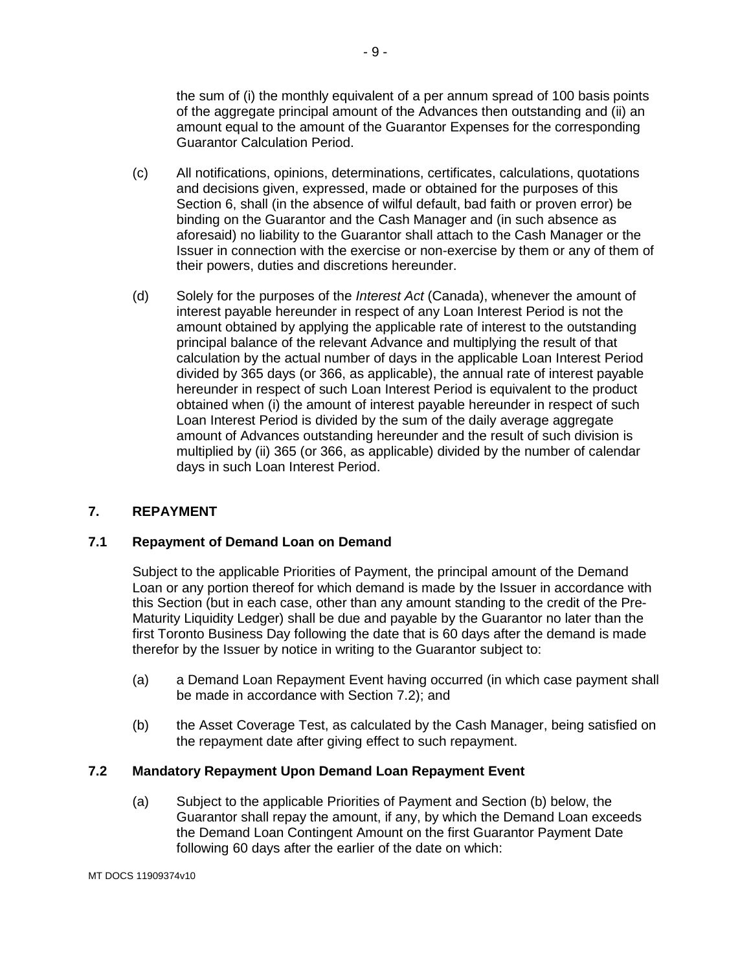the sum of (i) the monthly equivalent of a per annum spread of 100 basis points of the aggregate principal amount of the Advances then outstanding and (ii) an amount equal to the amount of the Guarantor Expenses for the corresponding Guarantor Calculation Period.

- (c) All notifications, opinions, determinations, certificates, calculations, quotations and decisions given, expressed, made or obtained for the purposes of this Section 6, shall (in the absence of wilful default, bad faith or proven error) be binding on the Guarantor and the Cash Manager and (in such absence as aforesaid) no liability to the Guarantor shall attach to the Cash Manager or the Issuer in connection with the exercise or non-exercise by them or any of them of their powers, duties and discretions hereunder.
- (d) Solely for the purposes of the *Interest Act* (Canada), whenever the amount of interest payable hereunder in respect of any Loan Interest Period is not the amount obtained by applying the applicable rate of interest to the outstanding principal balance of the relevant Advance and multiplying the result of that calculation by the actual number of days in the applicable Loan Interest Period divided by 365 days (or 366, as applicable), the annual rate of interest payable hereunder in respect of such Loan Interest Period is equivalent to the product obtained when (i) the amount of interest payable hereunder in respect of such Loan Interest Period is divided by the sum of the daily average aggregate amount of Advances outstanding hereunder and the result of such division is multiplied by (ii) 365 (or 366, as applicable) divided by the number of calendar days in such Loan Interest Period.

## **7. REPAYMENT**

#### **7.1 Repayment of Demand Loan on Demand**

Subject to the applicable Priorities of Payment, the principal amount of the Demand Loan or any portion thereof for which demand is made by the Issuer in accordance with this Section (but in each case, other than any amount standing to the credit of the Pre-Maturity Liquidity Ledger) shall be due and payable by the Guarantor no later than the first Toronto Business Day following the date that is 60 days after the demand is made therefor by the Issuer by notice in writing to the Guarantor subject to:

- (a) a Demand Loan Repayment Event having occurred (in which case payment shall be made in accordance with Section 7.2); and
- (b) the Asset Coverage Test, as calculated by the Cash Manager, being satisfied on the repayment date after giving effect to such repayment.

#### **7.2 Mandatory Repayment Upon Demand Loan Repayment Event**

(a) Subject to the applicable Priorities of Payment and Section (b) below, the Guarantor shall repay the amount, if any, by which the Demand Loan exceeds the Demand Loan Contingent Amount on the first Guarantor Payment Date following 60 days after the earlier of the date on which:

MT DOCS 11909374v10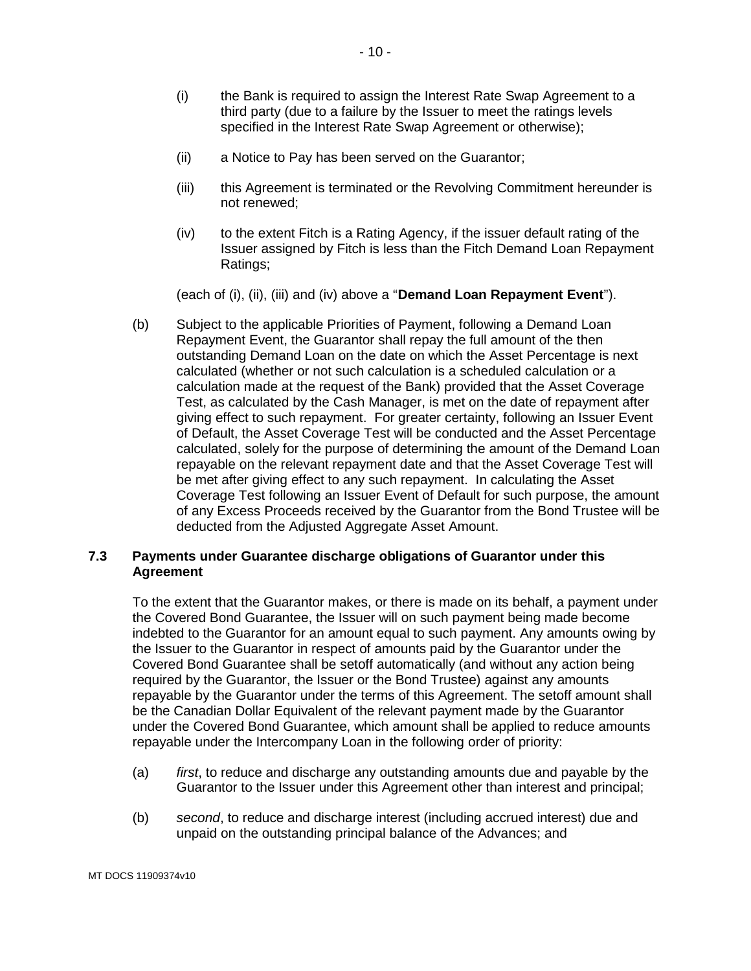- (i) the Bank is required to assign the Interest Rate Swap Agreement to a third party (due to a failure by the Issuer to meet the ratings levels specified in the Interest Rate Swap Agreement or otherwise);
- (ii) a Notice to Pay has been served on the Guarantor;
- (iii) this Agreement is terminated or the Revolving Commitment hereunder is not renewed;
- (iv) to the extent Fitch is a Rating Agency, if the issuer default rating of the Issuer assigned by Fitch is less than the Fitch Demand Loan Repayment Ratings;

(each of (i), (ii), (iii) and (iv) above a "**Demand Loan Repayment Event**").

(b) Subject to the applicable Priorities of Payment, following a Demand Loan Repayment Event, the Guarantor shall repay the full amount of the then outstanding Demand Loan on the date on which the Asset Percentage is next calculated (whether or not such calculation is a scheduled calculation or a calculation made at the request of the Bank) provided that the Asset Coverage Test, as calculated by the Cash Manager, is met on the date of repayment after giving effect to such repayment. For greater certainty, following an Issuer Event of Default, the Asset Coverage Test will be conducted and the Asset Percentage calculated, solely for the purpose of determining the amount of the Demand Loan repayable on the relevant repayment date and that the Asset Coverage Test will be met after giving effect to any such repayment. In calculating the Asset Coverage Test following an Issuer Event of Default for such purpose, the amount of any Excess Proceeds received by the Guarantor from the Bond Trustee will be deducted from the Adjusted Aggregate Asset Amount.

#### **7.3 Payments under Guarantee discharge obligations of Guarantor under this Agreement**

To the extent that the Guarantor makes, or there is made on its behalf, a payment under the Covered Bond Guarantee, the Issuer will on such payment being made become indebted to the Guarantor for an amount equal to such payment. Any amounts owing by the Issuer to the Guarantor in respect of amounts paid by the Guarantor under the Covered Bond Guarantee shall be setoff automatically (and without any action being required by the Guarantor, the Issuer or the Bond Trustee) against any amounts repayable by the Guarantor under the terms of this Agreement. The setoff amount shall be the Canadian Dollar Equivalent of the relevant payment made by the Guarantor under the Covered Bond Guarantee, which amount shall be applied to reduce amounts repayable under the Intercompany Loan in the following order of priority:

- (a) *first*, to reduce and discharge any outstanding amounts due and payable by the Guarantor to the Issuer under this Agreement other than interest and principal;
- (b) *second*, to reduce and discharge interest (including accrued interest) due and unpaid on the outstanding principal balance of the Advances; and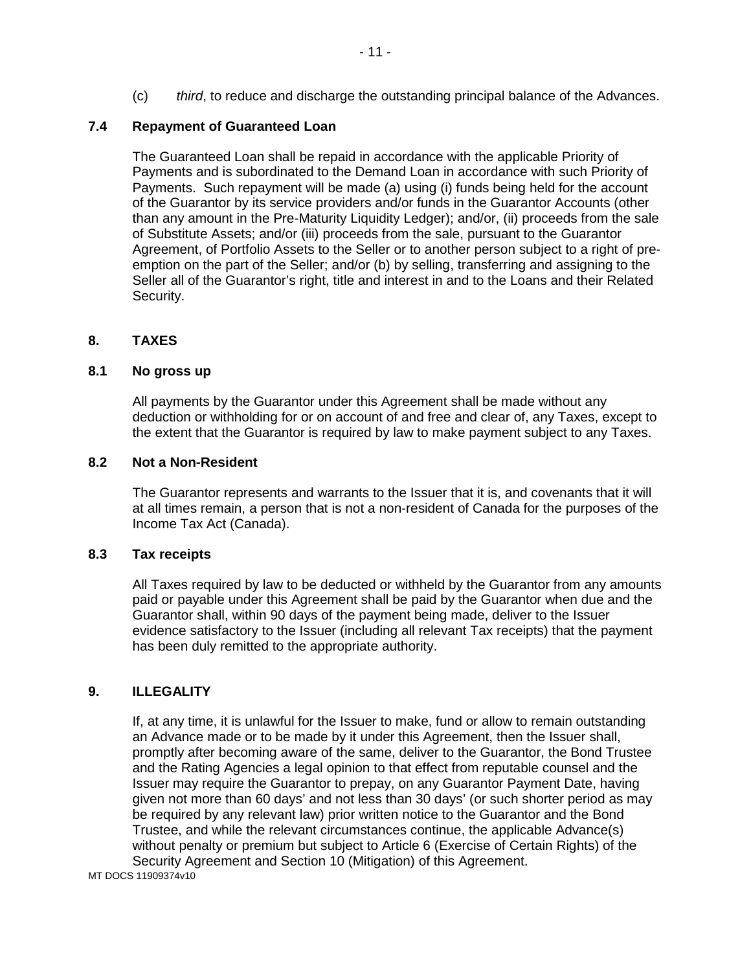(c) *third*, to reduce and discharge the outstanding principal balance of the Advances.

## **7.4 Repayment of Guaranteed Loan**

The Guaranteed Loan shall be repaid in accordance with the applicable Priority of Payments and is subordinated to the Demand Loan in accordance with such Priority of Payments. Such repayment will be made (a) using (i) funds being held for the account of the Guarantor by its service providers and/or funds in the Guarantor Accounts (other than any amount in the Pre-Maturity Liquidity Ledger); and/or, (ii) proceeds from the sale of Substitute Assets; and/or (iii) proceeds from the sale, pursuant to the Guarantor Agreement, of Portfolio Assets to the Seller or to another person subject to a right of preemption on the part of the Seller; and/or (b) by selling, transferring and assigning to the Seller all of the Guarantor's right, title and interest in and to the Loans and their Related Security.

#### **8. TAXES**

#### **8.1 No gross up**

All payments by the Guarantor under this Agreement shall be made without any deduction or withholding for or on account of and free and clear of, any Taxes, except to the extent that the Guarantor is required by law to make payment subject to any Taxes.

#### **8.2 Not a Non-Resident**

The Guarantor represents and warrants to the Issuer that it is, and covenants that it will at all times remain, a person that is not a non-resident of Canada for the purposes of the Income Tax Act (Canada).

#### **8.3 Tax receipts**

All Taxes required by law to be deducted or withheld by the Guarantor from any amounts paid or payable under this Agreement shall be paid by the Guarantor when due and the Guarantor shall, within 90 days of the payment being made, deliver to the Issuer evidence satisfactory to the Issuer (including all relevant Tax receipts) that the payment has been duly remitted to the appropriate authority.

## **9. ILLEGALITY**

If, at any time, it is unlawful for the Issuer to make, fund or allow to remain outstanding an Advance made or to be made by it under this Agreement, then the Issuer shall, promptly after becoming aware of the same, deliver to the Guarantor, the Bond Trustee and the Rating Agencies a legal opinion to that effect from reputable counsel and the Issuer may require the Guarantor to prepay, on any Guarantor Payment Date, having given not more than 60 days' and not less than 30 days' (or such shorter period as may be required by any relevant law) prior written notice to the Guarantor and the Bond Trustee, and while the relevant circumstances continue, the applicable Advance(s) without penalty or premium but subject to Article 6 (Exercise of Certain Rights) of the Security Agreement and Section 10 (Mitigation) of this Agreement.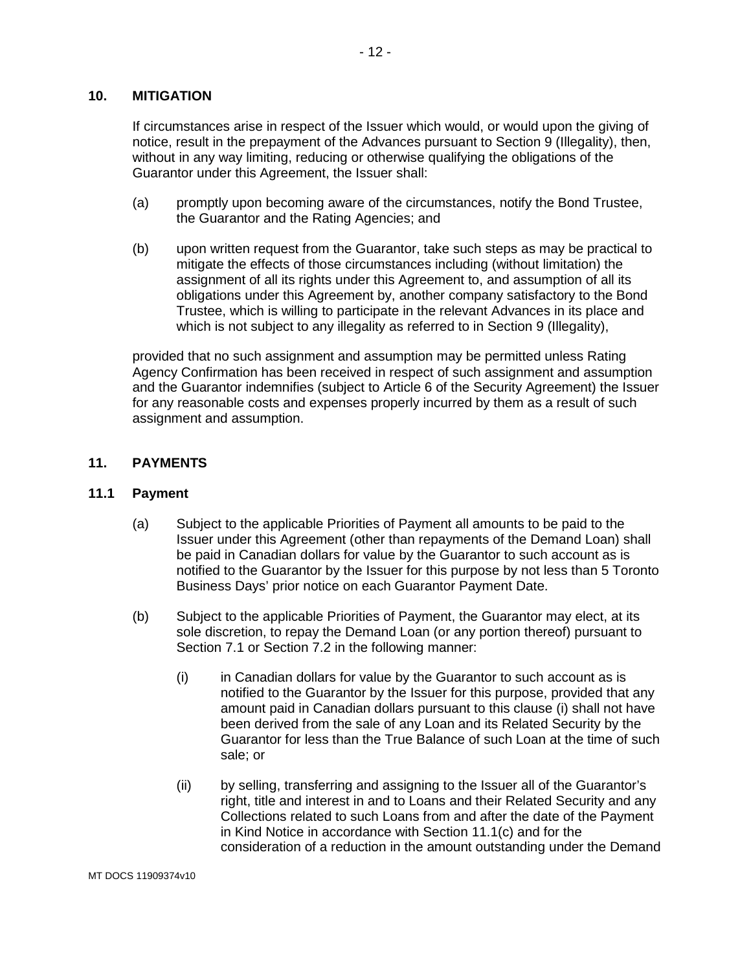#### **10. MITIGATION**

If circumstances arise in respect of the Issuer which would, or would upon the giving of notice, result in the prepayment of the Advances pursuant to Section 9 (Illegality), then, without in any way limiting, reducing or otherwise qualifying the obligations of the Guarantor under this Agreement, the Issuer shall:

- (a) promptly upon becoming aware of the circumstances, notify the Bond Trustee, the Guarantor and the Rating Agencies; and
- (b) upon written request from the Guarantor, take such steps as may be practical to mitigate the effects of those circumstances including (without limitation) the assignment of all its rights under this Agreement to, and assumption of all its obligations under this Agreement by, another company satisfactory to the Bond Trustee, which is willing to participate in the relevant Advances in its place and which is not subject to any illegality as referred to in Section 9 (Illegality).

provided that no such assignment and assumption may be permitted unless Rating Agency Confirmation has been received in respect of such assignment and assumption and the Guarantor indemnifies (subject to Article 6 of the Security Agreement) the Issuer for any reasonable costs and expenses properly incurred by them as a result of such assignment and assumption.

#### **11. PAYMENTS**

#### **11.1 Payment**

- (a) Subject to the applicable Priorities of Payment all amounts to be paid to the Issuer under this Agreement (other than repayments of the Demand Loan) shall be paid in Canadian dollars for value by the Guarantor to such account as is notified to the Guarantor by the Issuer for this purpose by not less than 5 Toronto Business Days' prior notice on each Guarantor Payment Date.
- (b) Subject to the applicable Priorities of Payment, the Guarantor may elect, at its sole discretion, to repay the Demand Loan (or any portion thereof) pursuant to Section 7.1 or Section 7.2 in the following manner:
	- (i) in Canadian dollars for value by the Guarantor to such account as is notified to the Guarantor by the Issuer for this purpose, provided that any amount paid in Canadian dollars pursuant to this clause (i) shall not have been derived from the sale of any Loan and its Related Security by the Guarantor for less than the True Balance of such Loan at the time of such sale; or
	- (ii) by selling, transferring and assigning to the Issuer all of the Guarantor's right, title and interest in and to Loans and their Related Security and any Collections related to such Loans from and after the date of the Payment in Kind Notice in accordance with Section 11.1(c) and for the consideration of a reduction in the amount outstanding under the Demand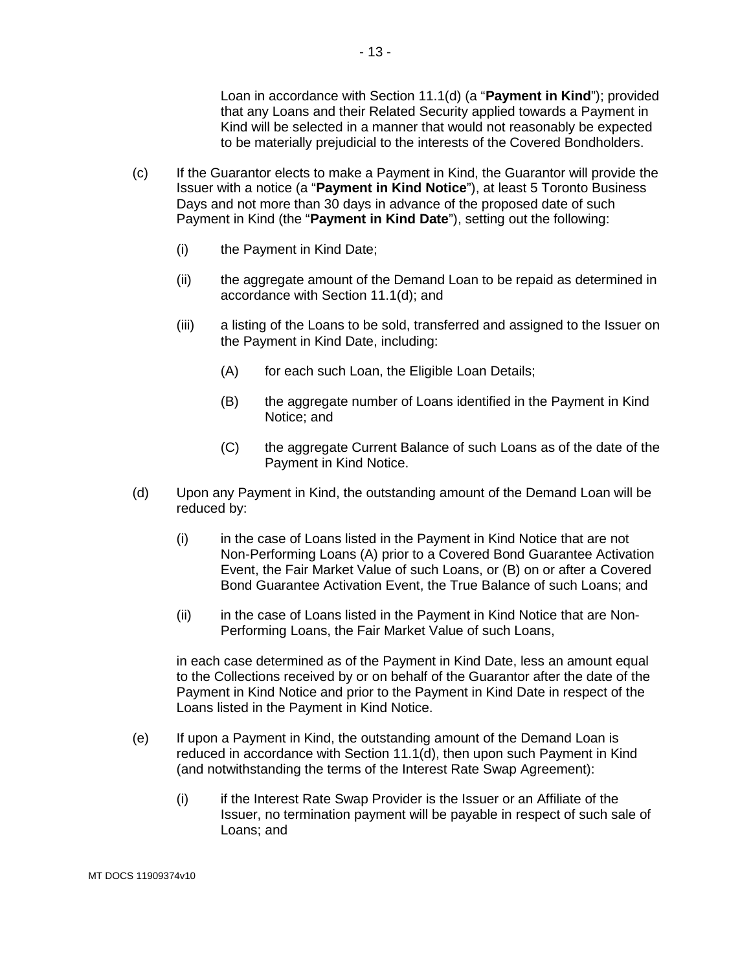Loan in accordance with Section 11.1(d) (a "**Payment in Kind**"); provided that any Loans and their Related Security applied towards a Payment in Kind will be selected in a manner that would not reasonably be expected to be materially prejudicial to the interests of the Covered Bondholders.

- (c) If the Guarantor elects to make a Payment in Kind, the Guarantor will provide the Issuer with a notice (a "**Payment in Kind Notice**"), at least 5 Toronto Business Days and not more than 30 days in advance of the proposed date of such Payment in Kind (the "**Payment in Kind Date**"), setting out the following:
	- (i) the Payment in Kind Date;
	- (ii) the aggregate amount of the Demand Loan to be repaid as determined in accordance with Section 11.1(d); and
	- (iii) a listing of the Loans to be sold, transferred and assigned to the Issuer on the Payment in Kind Date, including:
		- (A) for each such Loan, the Eligible Loan Details;
		- (B) the aggregate number of Loans identified in the Payment in Kind Notice; and
		- (C) the aggregate Current Balance of such Loans as of the date of the Payment in Kind Notice.
- (d) Upon any Payment in Kind, the outstanding amount of the Demand Loan will be reduced by:
	- (i) in the case of Loans listed in the Payment in Kind Notice that are not Non-Performing Loans (A) prior to a Covered Bond Guarantee Activation Event, the Fair Market Value of such Loans, or (B) on or after a Covered Bond Guarantee Activation Event, the True Balance of such Loans; and
	- (ii) in the case of Loans listed in the Payment in Kind Notice that are Non-Performing Loans, the Fair Market Value of such Loans,

in each case determined as of the Payment in Kind Date, less an amount equal to the Collections received by or on behalf of the Guarantor after the date of the Payment in Kind Notice and prior to the Payment in Kind Date in respect of the Loans listed in the Payment in Kind Notice.

- (e) If upon a Payment in Kind, the outstanding amount of the Demand Loan is reduced in accordance with Section 11.1(d), then upon such Payment in Kind (and notwithstanding the terms of the Interest Rate Swap Agreement):
	- (i) if the Interest Rate Swap Provider is the Issuer or an Affiliate of the Issuer, no termination payment will be payable in respect of such sale of Loans; and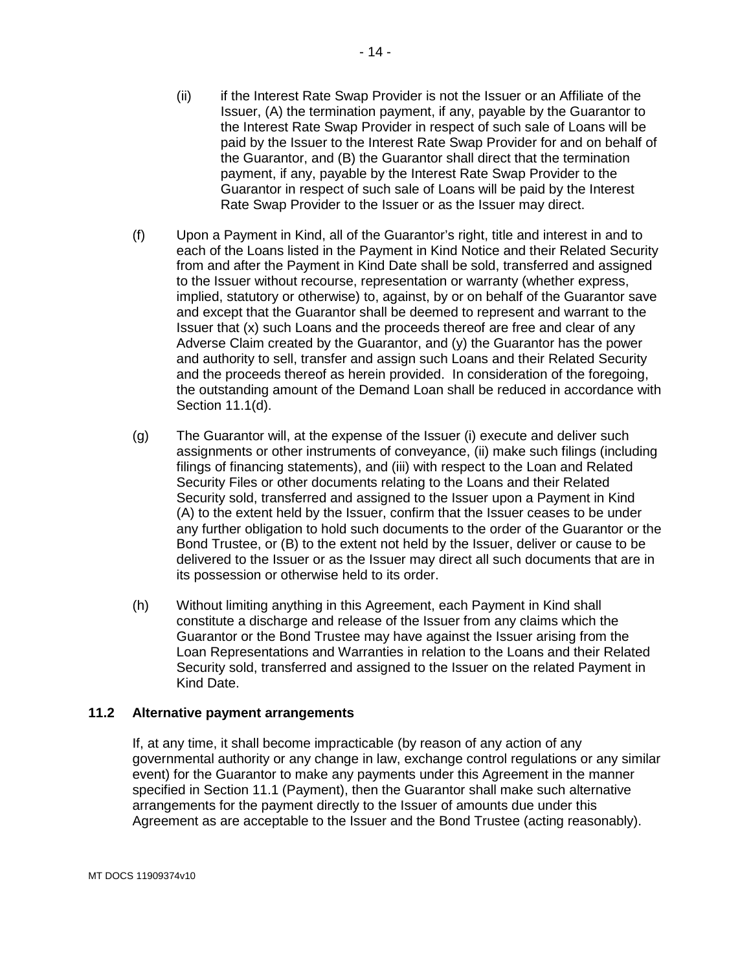- (ii) if the Interest Rate Swap Provider is not the Issuer or an Affiliate of the Issuer, (A) the termination payment, if any, payable by the Guarantor to the Interest Rate Swap Provider in respect of such sale of Loans will be paid by the Issuer to the Interest Rate Swap Provider for and on behalf of the Guarantor, and (B) the Guarantor shall direct that the termination payment, if any, payable by the Interest Rate Swap Provider to the Guarantor in respect of such sale of Loans will be paid by the Interest Rate Swap Provider to the Issuer or as the Issuer may direct.
- (f) Upon a Payment in Kind, all of the Guarantor's right, title and interest in and to each of the Loans listed in the Payment in Kind Notice and their Related Security from and after the Payment in Kind Date shall be sold, transferred and assigned to the Issuer without recourse, representation or warranty (whether express, implied, statutory or otherwise) to, against, by or on behalf of the Guarantor save and except that the Guarantor shall be deemed to represent and warrant to the Issuer that (x) such Loans and the proceeds thereof are free and clear of any Adverse Claim created by the Guarantor, and (y) the Guarantor has the power and authority to sell, transfer and assign such Loans and their Related Security and the proceeds thereof as herein provided. In consideration of the foregoing, the outstanding amount of the Demand Loan shall be reduced in accordance with Section 11.1(d).
- (g) The Guarantor will, at the expense of the Issuer (i) execute and deliver such assignments or other instruments of conveyance, (ii) make such filings (including filings of financing statements), and (iii) with respect to the Loan and Related Security Files or other documents relating to the Loans and their Related Security sold, transferred and assigned to the Issuer upon a Payment in Kind (A) to the extent held by the Issuer, confirm that the Issuer ceases to be under any further obligation to hold such documents to the order of the Guarantor or the Bond Trustee, or (B) to the extent not held by the Issuer, deliver or cause to be delivered to the Issuer or as the Issuer may direct all such documents that are in its possession or otherwise held to its order.
- (h) Without limiting anything in this Agreement, each Payment in Kind shall constitute a discharge and release of the Issuer from any claims which the Guarantor or the Bond Trustee may have against the Issuer arising from the Loan Representations and Warranties in relation to the Loans and their Related Security sold, transferred and assigned to the Issuer on the related Payment in Kind Date.

#### **11.2 Alternative payment arrangements**

If, at any time, it shall become impracticable (by reason of any action of any governmental authority or any change in law, exchange control regulations or any similar event) for the Guarantor to make any payments under this Agreement in the manner specified in Section 11.1 (Payment), then the Guarantor shall make such alternative arrangements for the payment directly to the Issuer of amounts due under this Agreement as are acceptable to the Issuer and the Bond Trustee (acting reasonably).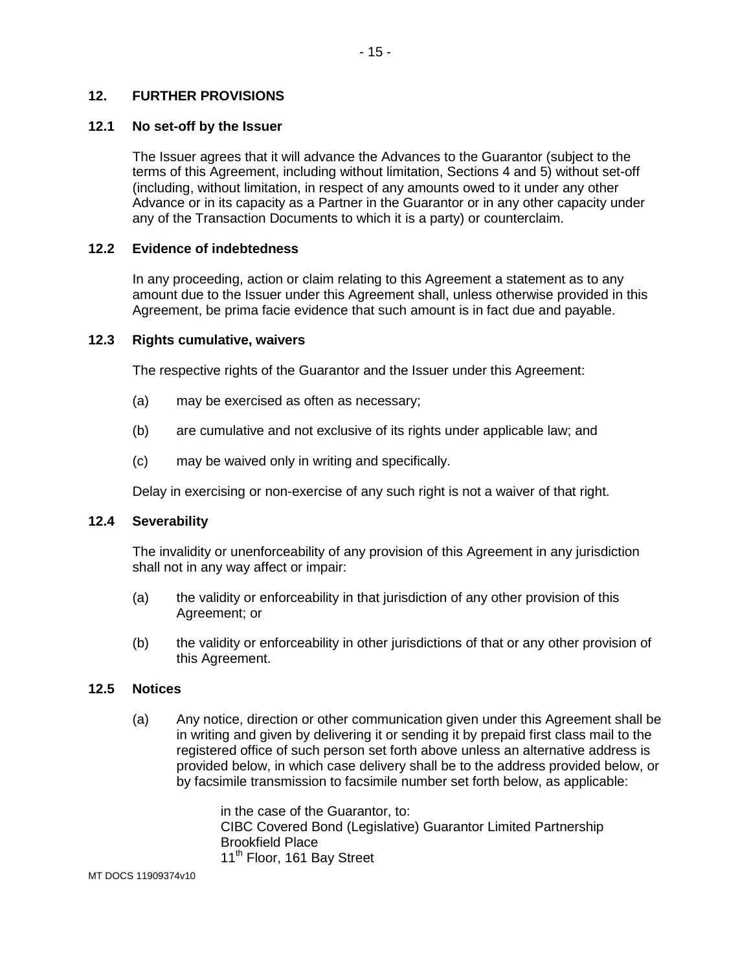#### **12. FURTHER PROVISIONS**

#### **12.1 No set-off by the Issuer**

The Issuer agrees that it will advance the Advances to the Guarantor (subject to the terms of this Agreement, including without limitation, Sections 4 and 5) without set-off (including, without limitation, in respect of any amounts owed to it under any other Advance or in its capacity as a Partner in the Guarantor or in any other capacity under any of the Transaction Documents to which it is a party) or counterclaim.

#### **12.2 Evidence of indebtedness**

In any proceeding, action or claim relating to this Agreement a statement as to any amount due to the Issuer under this Agreement shall, unless otherwise provided in this Agreement, be prima facie evidence that such amount is in fact due and payable.

#### **12.3 Rights cumulative, waivers**

The respective rights of the Guarantor and the Issuer under this Agreement:

- (a) may be exercised as often as necessary;
- (b) are cumulative and not exclusive of its rights under applicable law; and
- (c) may be waived only in writing and specifically.

Delay in exercising or non-exercise of any such right is not a waiver of that right.

## **12.4 Severability**

The invalidity or unenforceability of any provision of this Agreement in any jurisdiction shall not in any way affect or impair:

- (a) the validity or enforceability in that jurisdiction of any other provision of this Agreement; or
- (b) the validity or enforceability in other jurisdictions of that or any other provision of this Agreement.

#### **12.5 Notices**

(a) Any notice, direction or other communication given under this Agreement shall be in writing and given by delivering it or sending it by prepaid first class mail to the registered office of such person set forth above unless an alternative address is provided below, in which case delivery shall be to the address provided below, or by facsimile transmission to facsimile number set forth below, as applicable:

> in the case of the Guarantor, to: CIBC Covered Bond (Legislative) Guarantor Limited Partnership Brookfield Place 11<sup>th</sup> Floor, 161 Bay Street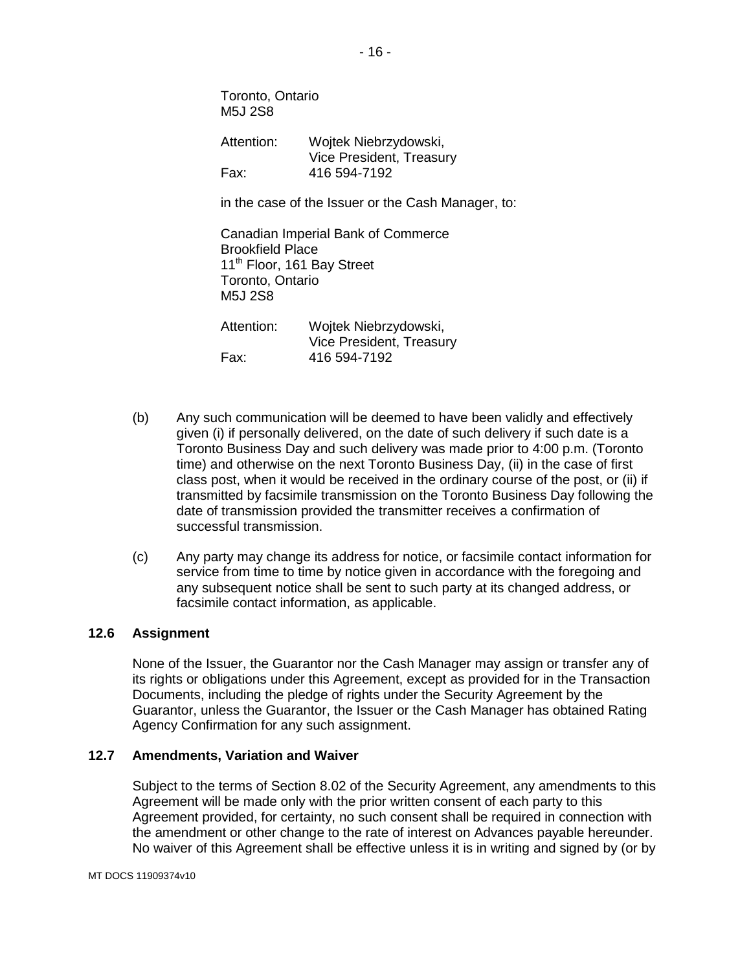Toronto, Ontario M5J 2S8

Attention: Wojtek Niebrzydowski, Vice President, Treasury Fax: 416 594-7192

in the case of the Issuer or the Cash Manager, to:

Canadian Imperial Bank of Commerce Brookfield Place 11<sup>th</sup> Floor, 161 Bay Street Toronto, Ontario M5J 2S8 Attention: Wojtek Niebrzydowski, Vice President, Treasury Fax: 416 594-7192

- (b) Any such communication will be deemed to have been validly and effectively given (i) if personally delivered, on the date of such delivery if such date is a Toronto Business Day and such delivery was made prior to 4:00 p.m. (Toronto time) and otherwise on the next Toronto Business Day, (ii) in the case of first class post, when it would be received in the ordinary course of the post, or (ii) if transmitted by facsimile transmission on the Toronto Business Day following the date of transmission provided the transmitter receives a confirmation of successful transmission.
- (c) Any party may change its address for notice, or facsimile contact information for service from time to time by notice given in accordance with the foregoing and any subsequent notice shall be sent to such party at its changed address, or facsimile contact information, as applicable.

## **12.6 Assignment**

None of the Issuer, the Guarantor nor the Cash Manager may assign or transfer any of its rights or obligations under this Agreement, except as provided for in the Transaction Documents, including the pledge of rights under the Security Agreement by the Guarantor, unless the Guarantor, the Issuer or the Cash Manager has obtained Rating Agency Confirmation for any such assignment.

### **12.7 Amendments, Variation and Waiver**

Subject to the terms of Section 8.02 of the Security Agreement, any amendments to this Agreement will be made only with the prior written consent of each party to this Agreement provided, for certainty, no such consent shall be required in connection with the amendment or other change to the rate of interest on Advances payable hereunder. No waiver of this Agreement shall be effective unless it is in writing and signed by (or by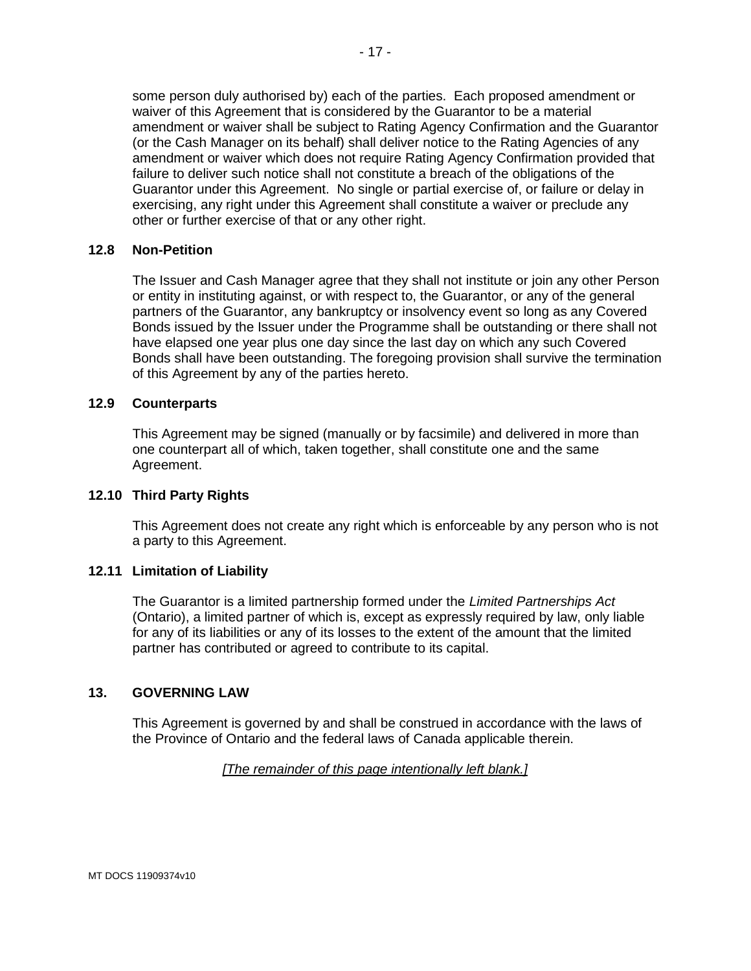some person duly authorised by) each of the parties. Each proposed amendment or waiver of this Agreement that is considered by the Guarantor to be a material amendment or waiver shall be subject to Rating Agency Confirmation and the Guarantor (or the Cash Manager on its behalf) shall deliver notice to the Rating Agencies of any amendment or waiver which does not require Rating Agency Confirmation provided that failure to deliver such notice shall not constitute a breach of the obligations of the Guarantor under this Agreement. No single or partial exercise of, or failure or delay in exercising, any right under this Agreement shall constitute a waiver or preclude any other or further exercise of that or any other right.

#### **12.8 Non-Petition**

The Issuer and Cash Manager agree that they shall not institute or join any other Person or entity in instituting against, or with respect to, the Guarantor, or any of the general partners of the Guarantor, any bankruptcy or insolvency event so long as any Covered Bonds issued by the Issuer under the Programme shall be outstanding or there shall not have elapsed one year plus one day since the last day on which any such Covered Bonds shall have been outstanding. The foregoing provision shall survive the termination of this Agreement by any of the parties hereto.

#### **12.9 Counterparts**

This Agreement may be signed (manually or by facsimile) and delivered in more than one counterpart all of which, taken together, shall constitute one and the same Agreement.

#### **12.10 Third Party Rights**

This Agreement does not create any right which is enforceable by any person who is not a party to this Agreement.

#### **12.11 Limitation of Liability**

The Guarantor is a limited partnership formed under the *Limited Partnerships Act* (Ontario), a limited partner of which is, except as expressly required by law, only liable for any of its liabilities or any of its losses to the extent of the amount that the limited partner has contributed or agreed to contribute to its capital.

#### **13. GOVERNING LAW**

This Agreement is governed by and shall be construed in accordance with the laws of the Province of Ontario and the federal laws of Canada applicable therein.

#### *[The remainder of this page intentionally left blank.]*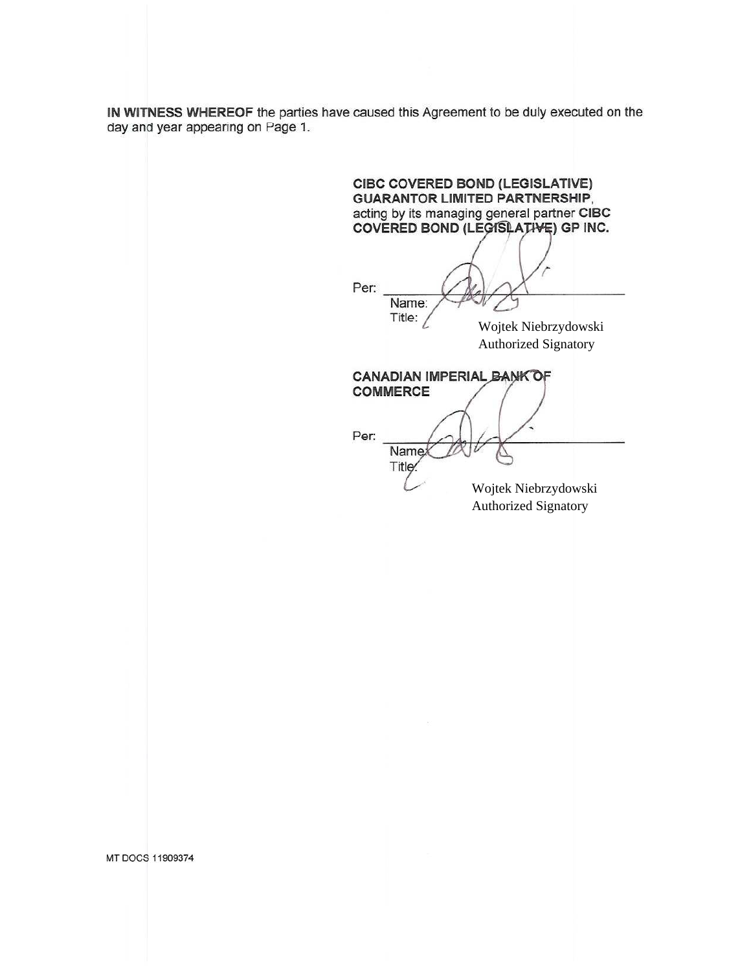IN WITNESS WHEREOF the parties have caused this Agreement to be duly executed on the day and year appearing on Page 1.

CIBC COVERED BOND (LEGISLATIVE) **GUARANTOR LIMITED PARTNERSHIP,** acting by its managing general partner CIBC COVERED BOND (LEGISLATIVE) GP INC. Per: Name: Title:  $\angle$ Wojtek Niebrzydowski **Authorized Signatory** CANADIAN IMPERIAL BANK OF **COMMERCE** Per: Namex Title: Wojtek Niebrzydowski **Authorized Signatory** 

MT DOCS 11909374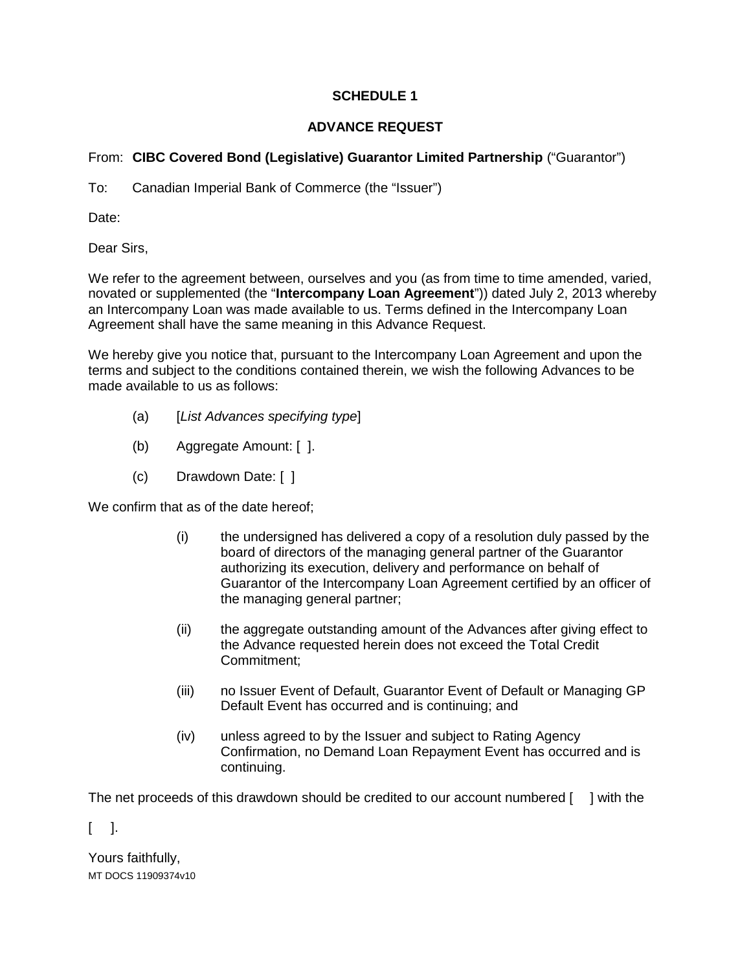## **SCHEDULE 1**

## **ADVANCE REQUEST**

# From: **CIBC Covered Bond (Legislative) Guarantor Limited Partnership** ("Guarantor")

To: Canadian Imperial Bank of Commerce (the "Issuer")

Date:

Dear Sirs,

We refer to the agreement between, ourselves and you (as from time to time amended, varied, novated or supplemented (the "**Intercompany Loan Agreement**")) dated July 2, 2013 whereby an Intercompany Loan was made available to us. Terms defined in the Intercompany Loan Agreement shall have the same meaning in this Advance Request.

We hereby give you notice that, pursuant to the Intercompany Loan Agreement and upon the terms and subject to the conditions contained therein, we wish the following Advances to be made available to us as follows:

- (a) [*List Advances specifying type*]
- (b) Aggregate Amount: [ ].
- (c) Drawdown Date: [ ]

We confirm that as of the date hereof;

- (i) the undersigned has delivered a copy of a resolution duly passed by the board of directors of the managing general partner of the Guarantor authorizing its execution, delivery and performance on behalf of Guarantor of the Intercompany Loan Agreement certified by an officer of the managing general partner;
- (ii) the aggregate outstanding amount of the Advances after giving effect to the Advance requested herein does not exceed the Total Credit Commitment;
- (iii) no Issuer Event of Default, Guarantor Event of Default or Managing GP Default Event has occurred and is continuing; and
- (iv) unless agreed to by the Issuer and subject to Rating Agency Confirmation, no Demand Loan Repayment Event has occurred and is continuing.

The net proceeds of this drawdown should be credited to our account numbered [ ] with the

 $\lceil$   $\rceil$ .

MT DOCS 11909374v10 Yours faithfully,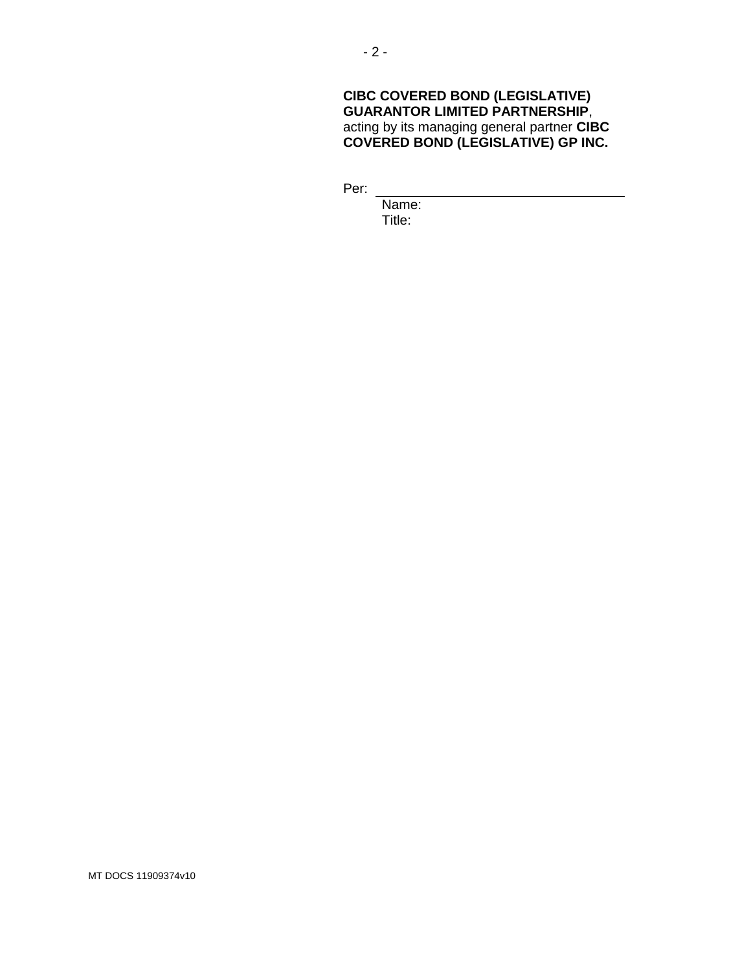## **CIBC COVERED BOND (LEGISLATIVE) GUARANTOR LIMITED PARTNERSHIP**, acting by its managing general partner **CIBC COVERED BOND (LEGISLATIVE) GP INC.**

Per:

Name: Title:

MT DOCS 11909374v10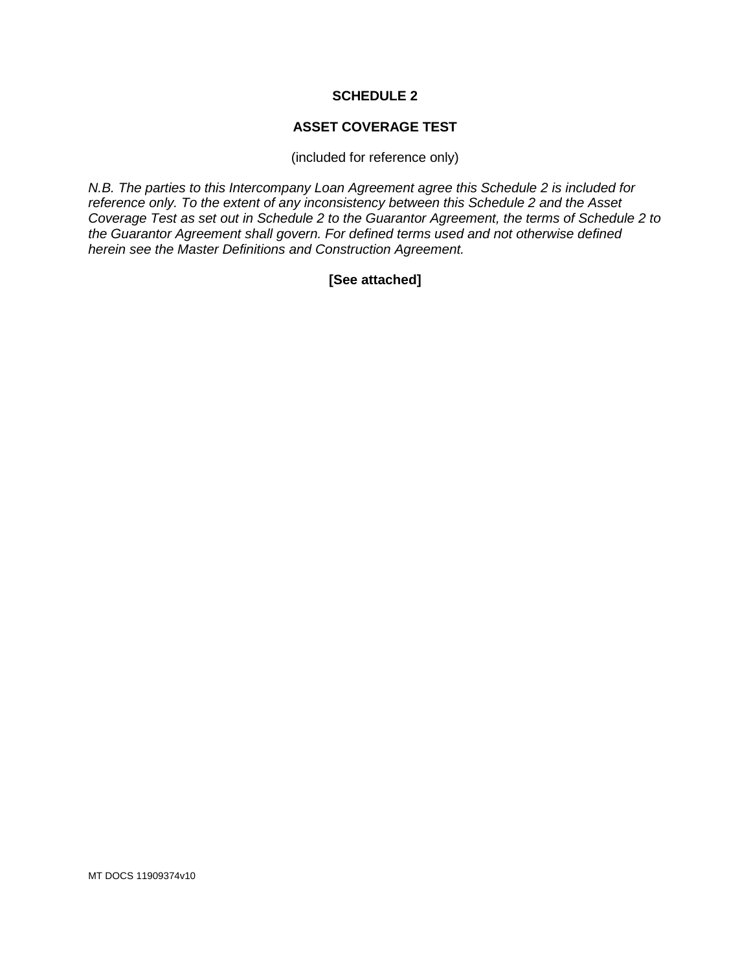## **SCHEDULE 2**

#### **ASSET COVERAGE TEST**

(included for reference only)

*N.B. The parties to this Intercompany Loan Agreement agree this Schedule 2 is included for reference only. To the extent of any inconsistency between this Schedule 2 and the Asset Coverage Test as set out in Schedule 2 to the Guarantor Agreement, the terms of Schedule 2 to the Guarantor Agreement shall govern. For defined terms used and not otherwise defined herein see the Master Definitions and Construction Agreement.*

## **[See attached]**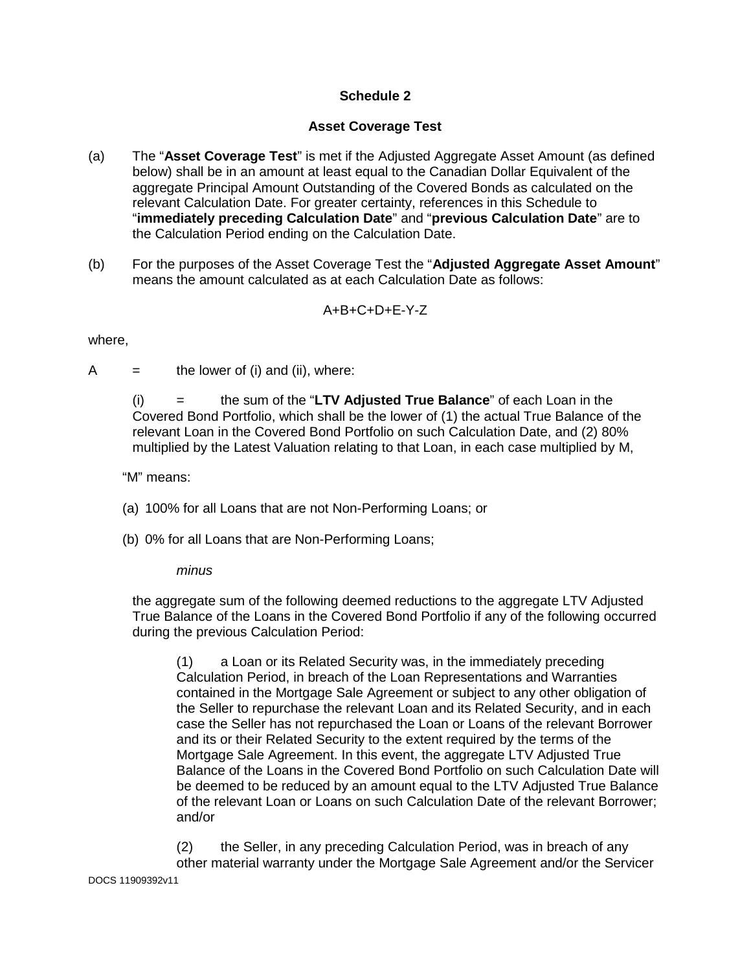## **Schedule 2**

## **Asset Coverage Test**

- (a) The "**Asset Coverage Test**" is met if the Adjusted Aggregate Asset Amount (as defined below) shall be in an amount at least equal to the Canadian Dollar Equivalent of the aggregate Principal Amount Outstanding of the Covered Bonds as calculated on the relevant Calculation Date. For greater certainty, references in this Schedule to "**immediately preceding Calculation Date**" and "**previous Calculation Date**" are to the Calculation Period ending on the Calculation Date.
- (b) For the purposes of the Asset Coverage Test the "**Adjusted Aggregate Asset Amount**" means the amount calculated as at each Calculation Date as follows:

# A+B+C+D+E-Y-Z

#### where,

 $A =$  the lower of (i) and (ii), where:

(i) = the sum of the "**LTV Adjusted True Balance**" of each Loan in the Covered Bond Portfolio, which shall be the lower of (1) the actual True Balance of the relevant Loan in the Covered Bond Portfolio on such Calculation Date, and (2) 80% multiplied by the Latest Valuation relating to that Loan, in each case multiplied by M,

"M" means:

- (a) 100% for all Loans that are not Non-Performing Loans; or
- (b) 0% for all Loans that are Non-Performing Loans;

## *minus*

the aggregate sum of the following deemed reductions to the aggregate LTV Adjusted True Balance of the Loans in the Covered Bond Portfolio if any of the following occurred during the previous Calculation Period:

(1) a Loan or its Related Security was, in the immediately preceding Calculation Period, in breach of the Loan Representations and Warranties contained in the Mortgage Sale Agreement or subject to any other obligation of the Seller to repurchase the relevant Loan and its Related Security, and in each case the Seller has not repurchased the Loan or Loans of the relevant Borrower and its or their Related Security to the extent required by the terms of the Mortgage Sale Agreement. In this event, the aggregate LTV Adjusted True Balance of the Loans in the Covered Bond Portfolio on such Calculation Date will be deemed to be reduced by an amount equal to the LTV Adjusted True Balance of the relevant Loan or Loans on such Calculation Date of the relevant Borrower; and/or

(2) the Seller, in any preceding Calculation Period, was in breach of any other material warranty under the Mortgage Sale Agreement and/or the Servicer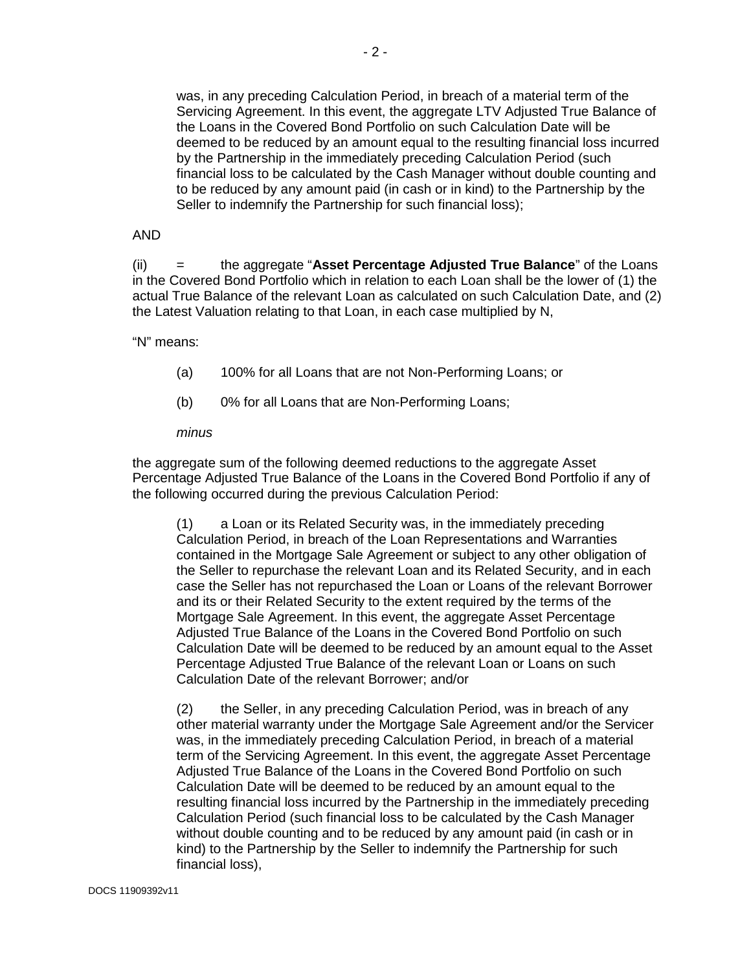was, in any preceding Calculation Period, in breach of a material term of the Servicing Agreement. In this event, the aggregate LTV Adjusted True Balance of the Loans in the Covered Bond Portfolio on such Calculation Date will be deemed to be reduced by an amount equal to the resulting financial loss incurred by the Partnership in the immediately preceding Calculation Period (such financial loss to be calculated by the Cash Manager without double counting and to be reduced by any amount paid (in cash or in kind) to the Partnership by the Seller to indemnify the Partnership for such financial loss);

#### AND

(ii) = the aggregate "**Asset Percentage Adjusted True Balance**" of the Loans in the Covered Bond Portfolio which in relation to each Loan shall be the lower of (1) the actual True Balance of the relevant Loan as calculated on such Calculation Date, and (2) the Latest Valuation relating to that Loan, in each case multiplied by N,

#### "N" means:

- (a) 100% for all Loans that are not Non-Performing Loans; or
- (b) 0% for all Loans that are Non-Performing Loans;

#### *minus*

the aggregate sum of the following deemed reductions to the aggregate Asset Percentage Adjusted True Balance of the Loans in the Covered Bond Portfolio if any of the following occurred during the previous Calculation Period:

(1) a Loan or its Related Security was, in the immediately preceding Calculation Period, in breach of the Loan Representations and Warranties contained in the Mortgage Sale Agreement or subject to any other obligation of the Seller to repurchase the relevant Loan and its Related Security, and in each case the Seller has not repurchased the Loan or Loans of the relevant Borrower and its or their Related Security to the extent required by the terms of the Mortgage Sale Agreement. In this event, the aggregate Asset Percentage Adjusted True Balance of the Loans in the Covered Bond Portfolio on such Calculation Date will be deemed to be reduced by an amount equal to the Asset Percentage Adjusted True Balance of the relevant Loan or Loans on such Calculation Date of the relevant Borrower; and/or

(2) the Seller, in any preceding Calculation Period, was in breach of any other material warranty under the Mortgage Sale Agreement and/or the Servicer was, in the immediately preceding Calculation Period, in breach of a material term of the Servicing Agreement. In this event, the aggregate Asset Percentage Adjusted True Balance of the Loans in the Covered Bond Portfolio on such Calculation Date will be deemed to be reduced by an amount equal to the resulting financial loss incurred by the Partnership in the immediately preceding Calculation Period (such financial loss to be calculated by the Cash Manager without double counting and to be reduced by any amount paid (in cash or in kind) to the Partnership by the Seller to indemnify the Partnership for such financial loss),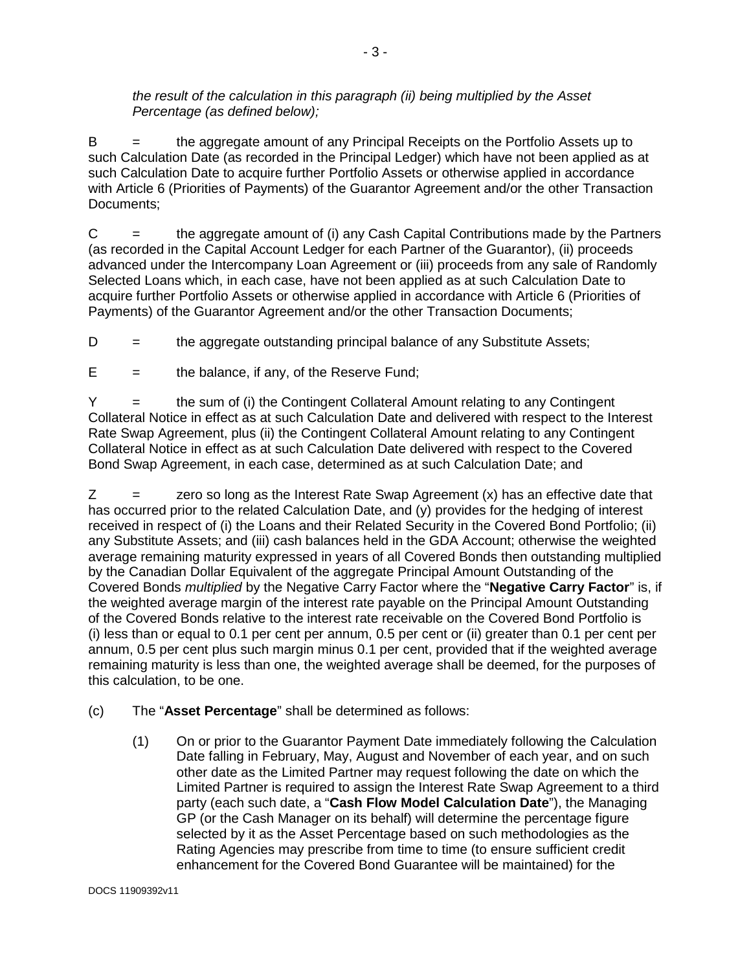#### *the result of the calculation in this paragraph (ii) being multiplied by the Asset Percentage (as defined below);*

 $B =$  the aggregate amount of any Principal Receipts on the Portfolio Assets up to such Calculation Date (as recorded in the Principal Ledger) which have not been applied as at such Calculation Date to acquire further Portfolio Assets or otherwise applied in accordance with Article 6 (Priorities of Payments) of the Guarantor Agreement and/or the other Transaction Documents;

 $C =$  the aggregate amount of (i) any Cash Capital Contributions made by the Partners (as recorded in the Capital Account Ledger for each Partner of the Guarantor), (ii) proceeds advanced under the Intercompany Loan Agreement or (iii) proceeds from any sale of Randomly Selected Loans which, in each case, have not been applied as at such Calculation Date to acquire further Portfolio Assets or otherwise applied in accordance with Article 6 (Priorities of Payments) of the Guarantor Agreement and/or the other Transaction Documents;

 $D =$  the aggregate outstanding principal balance of any Substitute Assets;

 $E =$  the balance, if any, of the Reserve Fund;

Y = the sum of (i) the Contingent Collateral Amount relating to any Contingent Collateral Notice in effect as at such Calculation Date and delivered with respect to the Interest Rate Swap Agreement, plus (ii) the Contingent Collateral Amount relating to any Contingent Collateral Notice in effect as at such Calculation Date delivered with respect to the Covered Bond Swap Agreement, in each case, determined as at such Calculation Date; and

 $Z =$  zero so long as the Interest Rate Swap Agreement  $(x)$  has an effective date that has occurred prior to the related Calculation Date, and (y) provides for the hedging of interest received in respect of (i) the Loans and their Related Security in the Covered Bond Portfolio; (ii) any Substitute Assets; and (iii) cash balances held in the GDA Account; otherwise the weighted average remaining maturity expressed in years of all Covered Bonds then outstanding multiplied by the Canadian Dollar Equivalent of the aggregate Principal Amount Outstanding of the Covered Bonds *multiplied* by the Negative Carry Factor where the "**Negative Carry Factor**" is, if the weighted average margin of the interest rate payable on the Principal Amount Outstanding of the Covered Bonds relative to the interest rate receivable on the Covered Bond Portfolio is (i) less than or equal to 0.1 per cent per annum, 0.5 per cent or (ii) greater than 0.1 per cent per annum, 0.5 per cent plus such margin minus 0.1 per cent, provided that if the weighted average remaining maturity is less than one, the weighted average shall be deemed, for the purposes of this calculation, to be one.

(c) The "**Asset Percentage**" shall be determined as follows:

(1) On or prior to the Guarantor Payment Date immediately following the Calculation Date falling in February, May, August and November of each year, and on such other date as the Limited Partner may request following the date on which the Limited Partner is required to assign the Interest Rate Swap Agreement to a third party (each such date, a "**Cash Flow Model Calculation Date**"), the Managing GP (or the Cash Manager on its behalf) will determine the percentage figure selected by it as the Asset Percentage based on such methodologies as the Rating Agencies may prescribe from time to time (to ensure sufficient credit enhancement for the Covered Bond Guarantee will be maintained) for the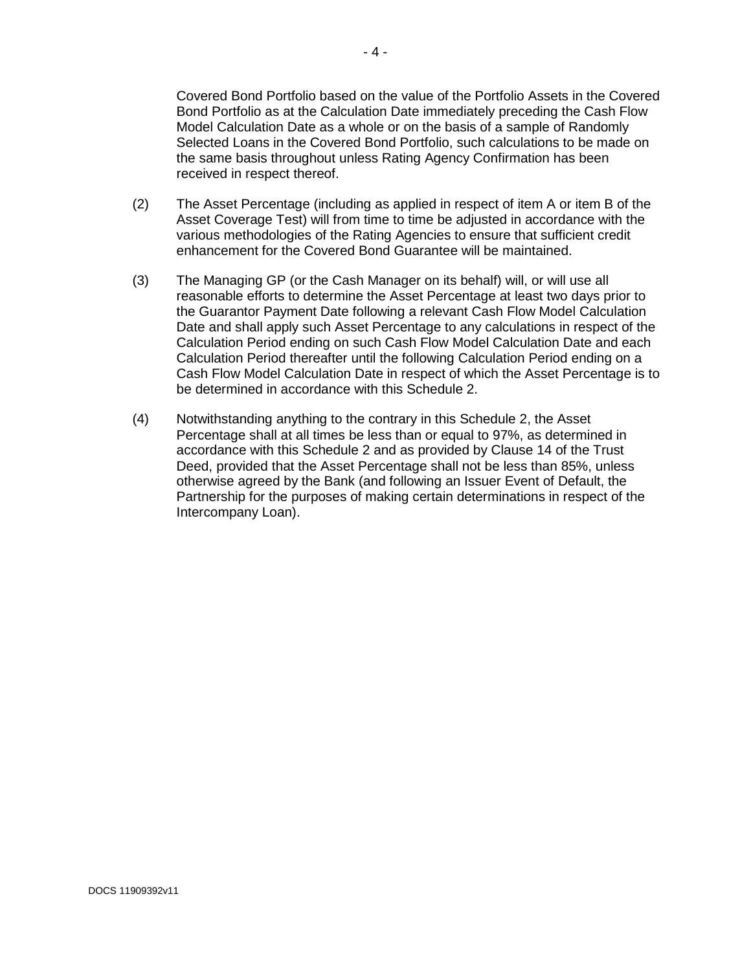Covered Bond Portfolio based on the value of the Portfolio Assets in the Covered Bond Portfolio as at the Calculation Date immediately preceding the Cash Flow Model Calculation Date as a whole or on the basis of a sample of Randomly Selected Loans in the Covered Bond Portfolio, such calculations to be made on the same basis throughout unless Rating Agency Confirmation has been received in respect thereof.

- (2) The Asset Percentage (including as applied in respect of item A or item B of the Asset Coverage Test) will from time to time be adjusted in accordance with the various methodologies of the Rating Agencies to ensure that sufficient credit enhancement for the Covered Bond Guarantee will be maintained.
- (3) The Managing GP (or the Cash Manager on its behalf) will, or will use all reasonable efforts to determine the Asset Percentage at least two days prior to the Guarantor Payment Date following a relevant Cash Flow Model Calculation Date and shall apply such Asset Percentage to any calculations in respect of the Calculation Period ending on such Cash Flow Model Calculation Date and each Calculation Period thereafter until the following Calculation Period ending on a Cash Flow Model Calculation Date in respect of which the Asset Percentage is to be determined in accordance with this Schedule 2.
- (4) Notwithstanding anything to the contrary in this Schedule 2, the Asset Percentage shall at all times be less than or equal to 97%, as determined in accordance with this Schedule 2 and as provided by Clause 14 of the Trust Deed, provided that the Asset Percentage shall not be less than 85%, unless otherwise agreed by the Bank (and following an Issuer Event of Default, the Partnership for the purposes of making certain determinations in respect of the Intercompany Loan).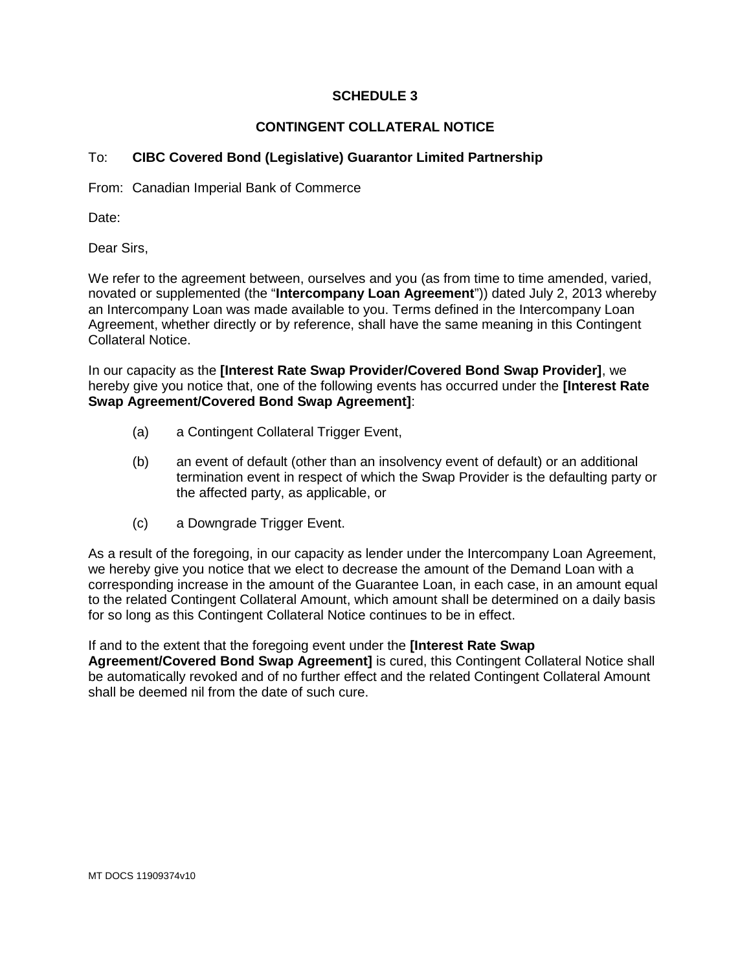## **SCHEDULE 3**

## **CONTINGENT COLLATERAL NOTICE**

## To: **CIBC Covered Bond (Legislative) Guarantor Limited Partnership**

From: Canadian Imperial Bank of Commerce

Date:

Dear Sirs,

We refer to the agreement between, ourselves and you (as from time to time amended, varied, novated or supplemented (the "**Intercompany Loan Agreement**")) dated July 2, 2013 whereby an Intercompany Loan was made available to you. Terms defined in the Intercompany Loan Agreement, whether directly or by reference, shall have the same meaning in this Contingent Collateral Notice.

In our capacity as the **[Interest Rate Swap Provider/Covered Bond Swap Provider]**, we hereby give you notice that, one of the following events has occurred under the **[Interest Rate Swap Agreement/Covered Bond Swap Agreement]**:

- (a) a Contingent Collateral Trigger Event,
- (b) an event of default (other than an insolvency event of default) or an additional termination event in respect of which the Swap Provider is the defaulting party or the affected party, as applicable, or
- (c) a Downgrade Trigger Event.

As a result of the foregoing, in our capacity as lender under the Intercompany Loan Agreement, we hereby give you notice that we elect to decrease the amount of the Demand Loan with a corresponding increase in the amount of the Guarantee Loan, in each case, in an amount equal to the related Contingent Collateral Amount, which amount shall be determined on a daily basis for so long as this Contingent Collateral Notice continues to be in effect.

If and to the extent that the foregoing event under the **[Interest Rate Swap Agreement/Covered Bond Swap Agreement]** is cured, this Contingent Collateral Notice shall be automatically revoked and of no further effect and the related Contingent Collateral Amount shall be deemed nil from the date of such cure.